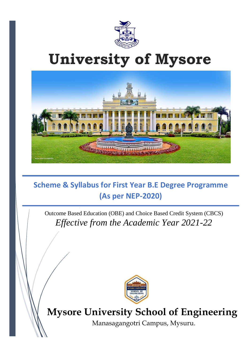

# **University of Mysore**



# **Scheme & Syllabus for First Year B.E Degree Programme (As per NEP-2020)**

Outcome Based Education (OBE) and Choice Based Credit System (CBCS) *Effective from the Academic Year 2021-22*



# **Mysore University School of Engineering**

Manasagangotri Campus, Mysuru.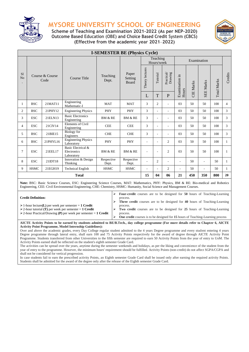

**Scheme of Teaching and Examination 2021-2022 (As per NEP-2020) Outcome Based Education (OBE) and Choice Based Credit System (CBCS) (Effective from the academic year 2021**–**2022)**



|                      |                                                                 |                         |                                                                                                                                                                                                                                                                    | <b>I-SEMESTER BE (Physics Cycle)</b> |                                  |                 |                        |                                     |                |                  |                  |                    |                |
|----------------------|-----------------------------------------------------------------|-------------------------|--------------------------------------------------------------------------------------------------------------------------------------------------------------------------------------------------------------------------------------------------------------------|--------------------------------------|----------------------------------|-----------------|------------------------|-------------------------------------|----------------|------------------|------------------|--------------------|----------------|
|                      |                                                                 |                         |                                                                                                                                                                                                                                                                    |                                      |                                  |                 | Teaching<br>Hours/week |                                     |                |                  | Examination      |                    |                |
| S1<br>N <sub>o</sub> |                                                                 | Course & Course<br>Code | Course Title                                                                                                                                                                                                                                                       | Teaching<br>Dept.                    | Paper<br>Setting<br><b>Board</b> | Theory lectures | Tutorial               | $\frac{\rm Practical}{\rm Drawing}$ | Examination in | <b>CIE</b> Marks | <b>SEE Marks</b> | <b>Total Marks</b> | Credits        |
|                      |                                                                 |                         |                                                                                                                                                                                                                                                                    |                                      |                                  | L               | T                      | $\mathbf{P}$                        | Hours          |                  |                  |                    |                |
| 1                    | <b>BSC</b>                                                      | 21MAT11                 | Engineering<br>Mathematic-I                                                                                                                                                                                                                                        | <b>MAT</b>                           | <b>MAT</b>                       | 3               | $\overline{2}$         |                                     | 03             | 50               | 50               | 100                | $\overline{4}$ |
| $\overline{c}$       | <b>BSC</b>                                                      | 21PHY12                 | <b>Engineering Physics</b>                                                                                                                                                                                                                                         | PHY                                  | PHY                              | 3               | ÷.                     | ÷.                                  | 03             | 50               | 50               | 100                | 3              |
| 3                    | <b>ESC</b>                                                      | 21ELN13                 | <b>Basic Electronics</b><br>Engineering                                                                                                                                                                                                                            | <b>BM &amp; RE</b>                   | <b>BM &amp; RE</b>               | 3               |                        |                                     | 03             | 50               | 50               | 100                | 3              |
| 4                    | <b>ESC</b>                                                      | 21CIV14                 | <b>Elements of Civil</b><br>Engineering                                                                                                                                                                                                                            | <b>CEE</b>                           | <b>CEE</b>                       | 3               |                        |                                     | 03             | 50               | 50               | 100                | 3              |
| 5                    | <b>BSC</b>                                                      | 21BIE15                 | <b>Biology</b> for<br>Engineers                                                                                                                                                                                                                                    | <b>CHE</b>                           | <b>CHE</b>                       | 3               | ٠                      |                                     | 03             | 50               | 50               | 100                | 3              |
| 6                    | <b>BSC</b>                                                      | 21PHYL16                | <b>Engineering Physics</b><br>Laboratory                                                                                                                                                                                                                           | PHY                                  | PHY                              | ÷               | ٠                      | $\overline{2}$                      | 03             | 50               | 50               | 100                | $\mathbf{1}$   |
| 7                    | <b>ESC</b>                                                      | 21EEL17                 | Basic Electrical &<br>Electronics<br>Laboratory                                                                                                                                                                                                                    | <b>BM &amp; RE</b>                   | <b>BM &amp; RE</b>               |                 |                        | $\overline{c}$                      | 03             | 50               | 50               | 100                | $\mathbf{1}$   |
| 8                    | <b>ESC</b>                                                      | 21IDT18                 | Innovation & Design<br>Thinking                                                                                                                                                                                                                                    | Respective<br>Dept.                  | Respective<br>Dept.              |                 | $\overline{2}$         |                                     | ÷.             | 50               | ÷.               | 50                 | $\mathbf{1}$   |
| 9                    | <b>HSMC</b>                                                     | 21EGH19                 | <b>Technical English</b>                                                                                                                                                                                                                                           | <b>HSMC</b>                          | <b>HSMC</b>                      |                 |                        | $\overline{2}$                      |                | 50               | L.               | 50                 | $\mathbf{1}$   |
|                      | 15<br>350<br>04<br>06<br>21<br>450<br>800<br><b>Total</b><br>20 |                         |                                                                                                                                                                                                                                                                    |                                      |                                  |                 |                        |                                     |                |                  |                  |                    |                |
|                      |                                                                 |                         | Note: BSC: Basic Science Courses, ESC: Engineering Science Courses, MAT: Mathematics, PHY: Physics, BM & RE: Bio-medical and Robotics<br>Engineering, CEE: Civil Environmental Engineering, CHE: Chemistry, HSMC: Humanity, Social Science and Management Courses. |                                      |                                  |                 |                        |                                     |                |                  |                  |                    |                |
|                      |                                                                 |                         |                                                                                                                                                                                                                                                                    |                                      |                                  |                 |                        |                                     |                |                  |                  |                    |                |

**Credit Definition:**

➢ **Four-credit** courses are to be designed for **50** hours of Teaching-Learning process.

➢ **Three credit** courses are to be designed for **40** hours of Teaching-Learning process. ➢ **Two credit** courses are to be designed for **25** hours of Teaching-Learning

➢2-hour tutorial **(T)** per week per semester = **1 Credit**

➢1-hour lecture**(L)** per week per semester = **1 Credit**

➢2-hour Practical/Drawing **(P)** per week per semester = **1 Credit** process.

➢ **One credit** courses is to be designed for **15** hours of Teaching-Learning process

**AICTE Activity Points to be earned by students admitted to BE/B.Tech., day college programme (For more details refer to Chapter 6, AICTE Activity Point Programme, Model Internship Guidelines):**

Over and above the academic grades, every Day College regular student admitted to the 4 years Degree programme and every student entering 4 years Degree programme through lateral entry, shall earn 100 and 75 Activity Points respectively for the award of degree through AICTE Activity Point Programme. Students transferred from other Universities to the fifth semester are required to earn 50 Activity Points from the year of entry to UoM. The Activity Points earned shall be reflected on the student's eighth semester Grade Card.

The activities can be spread over the years, anytime during the semester weekends and holidays, as per the liking and convenience of the student from the year of entry to the programme. However, the minimum hours' requirement should be fulfilled. Activity Points (non-credit) do not affect SGPA/CGPA and shall not be considered for vertical progression.

In case students fail to earn the prescribed activity Points, an Eighth semester Grade Card shall be issued only after earning the required activity Points. Students shall be admitted for the award of the degree only after the release of the Eighth semester Grade Card.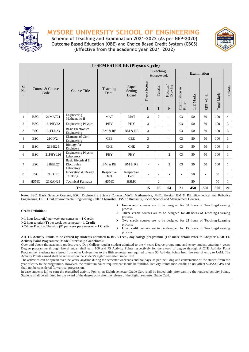



**Scheme of Teaching and Examination 2021-2022 (As per NEP-2020) Outcome Based Education (OBE) and Choice Based Credit System (CBCS) (Effective from the academic year 2021**–**2022)**

|                                                          | <b>II-SEMESTER BE (Physics Cycle)</b>                                                                                                                                                                                                                                                                                                                                                                                                                                                                                                                                                                                                                |                         |                                                                                                                                                                                                                                                                                                                                                                                                                                                                                                                                                                                                                                                                                                                                                                                                                                                                                                                                                                                                                                                                                                |                     |  |                           |                 |                          |                       |                |                  |                  |             |                |
|----------------------------------------------------------|------------------------------------------------------------------------------------------------------------------------------------------------------------------------------------------------------------------------------------------------------------------------------------------------------------------------------------------------------------------------------------------------------------------------------------------------------------------------------------------------------------------------------------------------------------------------------------------------------------------------------------------------------|-------------------------|------------------------------------------------------------------------------------------------------------------------------------------------------------------------------------------------------------------------------------------------------------------------------------------------------------------------------------------------------------------------------------------------------------------------------------------------------------------------------------------------------------------------------------------------------------------------------------------------------------------------------------------------------------------------------------------------------------------------------------------------------------------------------------------------------------------------------------------------------------------------------------------------------------------------------------------------------------------------------------------------------------------------------------------------------------------------------------------------|---------------------|--|---------------------------|-----------------|--------------------------|-----------------------|----------------|------------------|------------------|-------------|----------------|
|                                                          |                                                                                                                                                                                                                                                                                                                                                                                                                                                                                                                                                                                                                                                      |                         |                                                                                                                                                                                                                                                                                                                                                                                                                                                                                                                                                                                                                                                                                                                                                                                                                                                                                                                                                                                                                                                                                                |                     |  |                           |                 | Teaching<br>Hours/week   |                       |                |                  | Examination      |             |                |
| S <sub>1</sub><br>N <sub>o</sub><br>$\ddot{\phantom{0}}$ |                                                                                                                                                                                                                                                                                                                                                                                                                                                                                                                                                                                                                                                      | Course & Course<br>Code | Course Title                                                                                                                                                                                                                                                                                                                                                                                                                                                                                                                                                                                                                                                                                                                                                                                                                                                                                                                                                                                                                                                                                   | Teaching<br>Dept.   |  | Paper<br>Setting<br>Board | Theory lectures | Tutorial                 | Practical/<br>Drawing | Examination in | <b>CIE Marks</b> | <b>SEE Marks</b> | Total Marks | Credits        |
|                                                          |                                                                                                                                                                                                                                                                                                                                                                                                                                                                                                                                                                                                                                                      |                         |                                                                                                                                                                                                                                                                                                                                                                                                                                                                                                                                                                                                                                                                                                                                                                                                                                                                                                                                                                                                                                                                                                |                     |  | L                         | T               | $\mathbf{P}$             | Hours                 |                |                  |                  |             |                |
| 1                                                        | <b>BSC</b>                                                                                                                                                                                                                                                                                                                                                                                                                                                                                                                                                                                                                                           | 21MAT21                 | Engineering<br>Mathematic-II                                                                                                                                                                                                                                                                                                                                                                                                                                                                                                                                                                                                                                                                                                                                                                                                                                                                                                                                                                                                                                                                   | <b>MAT</b>          |  | <b>MAT</b>                | 3               | $\overline{2}$           | L,                    | 03             | 50               | 50               | 100         | $\overline{4}$ |
| $\overline{c}$                                           | <b>BSC</b>                                                                                                                                                                                                                                                                                                                                                                                                                                                                                                                                                                                                                                           | 21PHY22                 | <b>Engineering Physics</b>                                                                                                                                                                                                                                                                                                                                                                                                                                                                                                                                                                                                                                                                                                                                                                                                                                                                                                                                                                                                                                                                     | PHY                 |  | PHY                       | 3               | $\overline{a}$           | L,                    | 03             | 50               | 50               | 100         | 3              |
| 3                                                        | <b>ESC</b>                                                                                                                                                                                                                                                                                                                                                                                                                                                                                                                                                                                                                                           | 21ELN23                 | <b>Basic Electronics</b><br>Engineering                                                                                                                                                                                                                                                                                                                                                                                                                                                                                                                                                                                                                                                                                                                                                                                                                                                                                                                                                                                                                                                        | <b>BM &amp; RE</b>  |  | BM & RE                   | 3               |                          |                       | 03             | 50               | 50               | 100         | 3              |
| $\overline{4}$                                           | <b>ESC</b>                                                                                                                                                                                                                                                                                                                                                                                                                                                                                                                                                                                                                                           | 21CIV24                 | <b>Elements of Civil</b><br>Engineering                                                                                                                                                                                                                                                                                                                                                                                                                                                                                                                                                                                                                                                                                                                                                                                                                                                                                                                                                                                                                                                        | <b>CEE</b>          |  | <b>CEE</b>                | 3               |                          | L,                    | 03             | 50               | 50               | 100         | 3              |
| 5                                                        | <b>BSC</b>                                                                                                                                                                                                                                                                                                                                                                                                                                                                                                                                                                                                                                           | 21BIE25                 | <b>Biology</b> for<br>Engineers                                                                                                                                                                                                                                                                                                                                                                                                                                                                                                                                                                                                                                                                                                                                                                                                                                                                                                                                                                                                                                                                | <b>CHE</b>          |  | <b>CHE</b>                | 3               |                          |                       | 03             | 50               | 50               | 100         | 3              |
| 6                                                        | <b>BSC</b>                                                                                                                                                                                                                                                                                                                                                                                                                                                                                                                                                                                                                                           | 21PHYL26                | <b>Engineering Physics</b><br>Laboratory                                                                                                                                                                                                                                                                                                                                                                                                                                                                                                                                                                                                                                                                                                                                                                                                                                                                                                                                                                                                                                                       | PHY                 |  | PHY                       | $\overline{a}$  | $\overline{\phantom{a}}$ | $\overline{c}$        | 03             | 50               | 50               | 100         | $\mathbf{1}$   |
| 7                                                        | <b>ESC</b>                                                                                                                                                                                                                                                                                                                                                                                                                                                                                                                                                                                                                                           | 21EEL27                 | Basic Electrical &<br>Electronics<br>Laboratory                                                                                                                                                                                                                                                                                                                                                                                                                                                                                                                                                                                                                                                                                                                                                                                                                                                                                                                                                                                                                                                | BM & RE             |  | BM & RE                   |                 |                          | $\overline{c}$        | 03             | 50               | 50               | 100         | $\mathbf{1}$   |
| 8                                                        | <b>ESC</b>                                                                                                                                                                                                                                                                                                                                                                                                                                                                                                                                                                                                                                           | 21IDT28                 | Innovation & Design<br>Thinking                                                                                                                                                                                                                                                                                                                                                                                                                                                                                                                                                                                                                                                                                                                                                                                                                                                                                                                                                                                                                                                                | Respective<br>Dept. |  | Respective<br>Dept.       |                 | $\overline{2}$           |                       |                | 50               |                  | 50          | $\mathbf{1}$   |
| 9                                                        | <b>HSMC</b>                                                                                                                                                                                                                                                                                                                                                                                                                                                                                                                                                                                                                                          | 21KAN29                 | Technical Kannada                                                                                                                                                                                                                                                                                                                                                                                                                                                                                                                                                                                                                                                                                                                                                                                                                                                                                                                                                                                                                                                                              | <b>HSMC</b>         |  | <b>HSMC</b>               |                 | $\overline{c}$           | L,                    |                | 50               |                  | 50          | $\mathbf{1}$   |
|                                                          |                                                                                                                                                                                                                                                                                                                                                                                                                                                                                                                                                                                                                                                      |                         | <b>Total</b>                                                                                                                                                                                                                                                                                                                                                                                                                                                                                                                                                                                                                                                                                                                                                                                                                                                                                                                                                                                                                                                                                   |                     |  |                           | 15              | 06                       | 04                    | 21             | 450              | 350              | 800         | 20             |
|                                                          |                                                                                                                                                                                                                                                                                                                                                                                                                                                                                                                                                                                                                                                      |                         | Note: BSC: Basic Science Courses, ESC: Engineering Science Courses, MAT: Mathematics, PHY: Physics, BM & RE: Bio-medical and Robotics<br>Engineering, CEE: Civil Environmental Engineering, CHE: Chemistry, HSMC: Humanity, Social Science and Management Courses.                                                                                                                                                                                                                                                                                                                                                                                                                                                                                                                                                                                                                                                                                                                                                                                                                             |                     |  |                           |                 |                          |                       |                |                  |                  |             |                |
|                                                          | Four-credit courses are to be designed for 50 hours of Teaching-Learning<br>⋗<br>process.<br><b>Credit Definition:</b><br>Three credit courses are to be designed for 40 hours of Teaching-Learning<br>⋗<br>process.<br>$\triangleright$ 1-hour lecture(L) per week per semester = 1 Credit<br>⋗<br>Two credit courses are to be designed for 25 hours of Teaching-Learning<br>$\geq$ 2-hour tutorial (T) per week per semester = 1 Credit<br>process.<br>$\geq$ 2-hour Practical/Drawing (P) per week per semester = 1 Credit<br>$\blacktriangleright$<br><b>One credit</b> courses are to be designed for 15 hours of Teaching-Learning<br>process |                         |                                                                                                                                                                                                                                                                                                                                                                                                                                                                                                                                                                                                                                                                                                                                                                                                                                                                                                                                                                                                                                                                                                |                     |  |                           |                 |                          |                       |                |                  |                  |             |                |
|                                                          |                                                                                                                                                                                                                                                                                                                                                                                                                                                                                                                                                                                                                                                      |                         | AICTE Activity Points to be earned by students admitted to BE/B.Tech., day college programme (For more details refer to Chapter 6, AICTE<br><b>Activity Point Programme, Model Internship Guidelines):</b><br>Over and above the academic grades, every Day College regular student admitted to the 4 years Degree programme and every student entering 4 years<br>Degree programme through lateral entry, shall earn 100 and 75 Activity Points respectively for the award of degree through AICTE Activity Point<br>Programme. Students transferred from other Universities to the fifth semester are required to earn 50 Activity Points from the year of entry to UoM. The<br>Activity Points earned shall be reflected on the student's eighth semester Grade Card.<br>The activities can be spread over the years, anytime during the semester weekends and holidays, as per the liking and convenience of the student from the<br>year of entry to the programme. However, the minimum hours' requirement should be fulfilled. Activity Points (non-credit) do not affect SGPA/CGPA and |                     |  |                           |                 |                          |                       |                |                  |                  |             |                |

shall not be considered for vertical progression. In case students fail to earn the prescribed activity Points, an Eighth semester Grade Card shall be issued only after earning the required activity Points. Students shall be admitted for the award of the degree only after the release of the Eighth semester Grade Card.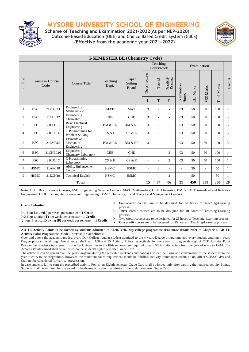

**Scheme of Teaching and Examination 2021-2022(As per NEP-2020) Outcome Based Education (OBE) and Choice Based Credit System (CBCS) (Effective from the academic year 2021**–**2022)**



|                | <b>I-SEMESTER BE (Chemistry Cycle)</b> |          |                                            |                    |                                  |                 |                          |                                           |                |                  |                  |                    |                |
|----------------|----------------------------------------|----------|--------------------------------------------|--------------------|----------------------------------|-----------------|--------------------------|-------------------------------------------|----------------|------------------|------------------|--------------------|----------------|
|                |                                        |          |                                            |                    |                                  |                 | Teaching<br>Hours/week   |                                           |                |                  | Examination      |                    |                |
| S1<br>No       | Course & Course<br>Code                |          | Course Title                               | Teaching<br>Dept.  | Paper<br>Setting<br><b>Board</b> | Theory lectures | Tutorial                 | $\frac{\text{Practical}}{\text{Drawing}}$ | Examination in | <b>CIE Marks</b> | <b>SEE Marks</b> | <b>Total Marks</b> | Credits        |
|                |                                        |          |                                            |                    |                                  | L               | T                        | $\mathbf{P}$                              | Hours          |                  |                  |                    |                |
| 1              | <b>BSC</b>                             | 21MAT11  | Engineering<br>Mathematic-1                | <b>MAT</b>         | <b>MAT</b>                       | 3               | 2                        | $\overline{\phantom{a}}$                  | 03             | 50               | 50               | 100                | $\overline{4}$ |
| $\overline{c}$ | <b>BSC</b>                             | 21CHE12  | Engineering<br>Chemistry                   | <b>CHE</b>         | <b>CHE</b>                       | 3               | $\sim$                   | $\overline{\phantom{a}}$                  | 03             | 50               | 50               | 100                | 3              |
| 3              | <b>ESC</b>                             | 21ELE13  | <b>Basic Electrical</b><br>Engineering     | <b>BM &amp; RE</b> | <b>BM &amp; RE</b>               | 3               | $\sim$                   | $\overline{\phantom{a}}$                  | 03             | 50               | 50               | 100                | 3              |
| 4              | <b>ESC</b>                             | 21CPS14  | C Programming for<br>Problem Solving       | CS & E             | CS & E                           | 3               | $\sim$                   | $\overline{\phantom{a}}$                  | 03             | 50               | 50               | 100                | 3              |
| 5              | <b>BSC</b>                             | 21EME15  | Elements of<br>Mechanical<br>Engineering   | <b>BM &amp; RE</b> | <b>BM &amp; RE</b>               | 3               | ٠                        | $\overline{\phantom{a}}$                  | 03             | 50               | 50               | 100                | 3              |
| 6              | <b>BSC</b>                             | 21CHEL16 | Engineering<br><b>Chemistry Laboratory</b> | <b>CHE</b>         | <b>CHE</b>                       | ٠               | $\overline{\phantom{a}}$ | 2                                         | 03             | 50               | 50               | 100                | 1              |
| 7              | <b>ESC</b>                             | 21CPL17  | C Programming<br>Laboratory                | CS & E             | CS & E                           | ٠               | $\overline{\phantom{a}}$ | 2                                         | 03             | 50               | 50               | 100                | $\mathbf{1}$   |
| 8              | <b>HSMC</b>                            | 21AEC18  | <b>Ability Enhancement</b><br>Course       | <b>HSMC</b>        | <b>HSMC</b>                      | ٠               | $\overline{c}$           | L.                                        | $\sim$         | 50               | ٠                | 50                 | $\mathbf{1}$   |
| 9              | <b>HSMC</b>                            | 21EGH19  | <b>Technical English</b>                   | <b>HSMC</b>        | <b>HSMC</b>                      |                 | ÷                        | 2                                         | ÷.             | 50               | L.               | 50                 | 1              |
|                | <b>Total</b>                           |          |                                            |                    |                                  |                 | 04                       | 06                                        | 21             | 450              | 350              | 800                | 20             |

**Note:** BSC: Basic Science Courses, ESC: Engineering Science Courses, MAT: Mathematics, CHE: Chemistry, BM & RE: Bio-medical and Robotics Engineering, CS & E: Computer Science and Engineering, HSMC: Humanity, Social Science and Management Courses.

**Credit Definition:**

➢1-hour lecture**(L)** per week per semester = **1 Credit**

2-hour Practical/Drawing **(P)** per week per semester = **1 Credit**

➢2-hour tutorial **(T)** per week per semester = **1 Credit**

➢ **Four-credit** courses are to be designed for **50** hours of Teaching-Learning process.

➢ **Three credit** courses are to be designed for **40** hours of Teaching-Learning process.

➢ **Two credit** courses are to be designed for **25** hours of Teaching-Learning process. ➢ **One credit** course are to be designed for **15** hours of Teaching-Learning process

**AICTE Activity Points to be earned by students admitted to BE/B.Tech., day college programme (For more details refer to Chapter 6, AICTE Activity Point Programme, Model Internship Guidelines):**

Over and above the academic grades, every Day College regular student admitted to the 4 years Degree programme and every student entering 4 years Degree programme through lateral entry, shall earn 100 and 75 Activity Points respectively for the award of degree through AICTE Activity Point Programme. Students transferred from other Universities to the fifth semester are required to earn 50 Activity Points from the year of entry to UoM. The Activity Points earned shall be reflected on the student's eighth semester Grade Card.

The activities can be spread over the years, anytime during the semester weekends and holidays, as per the liking and convenience of the student from the year of entry to the programme. However, the minimum hours' requirement should be fulfilled. Activity Points (non-credit) do not affect SGPA/CGPA and shall not be considered for vertical progression.

In case students fail to earn the prescribed activity Points, an Eighth semester Grade Card shall be issued only after earning the required activity Points. Students shall be admitted for the award of the degree only after the release of the Eighth semester Grade Card.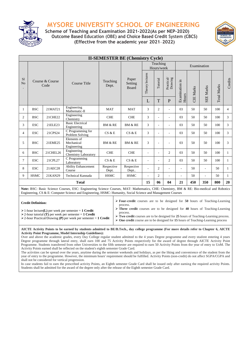

**Scheme of Teaching and Examination 2021-2022(As per NEP-2020) Outcome Based Education (OBE) and Choice Based Credit System (CBCS) (Effective from the academic year 2021**–**2022)**



|                |                                                           |          |                                                                                                                                                                                                                                                         | <b>II-SEMESTER BE (Chemistry Cycle)</b> |                           |                 |                        |                                                                       |                          |                  |                  |                    |                |
|----------------|-----------------------------------------------------------|----------|---------------------------------------------------------------------------------------------------------------------------------------------------------------------------------------------------------------------------------------------------------|-----------------------------------------|---------------------------|-----------------|------------------------|-----------------------------------------------------------------------|--------------------------|------------------|------------------|--------------------|----------------|
|                | Course & Course<br>Code                                   |          | Course Title                                                                                                                                                                                                                                            |                                         |                           |                 | Teaching<br>Hours/week |                                                                       |                          |                  | Examination      |                    |                |
| S1<br>No       |                                                           |          |                                                                                                                                                                                                                                                         | Teaching<br>Dept.                       | Paper<br>Setting<br>Board | Theory lectures | Tutorial               | $\begin{array}{c} \mathrm{Practical} \\ \mathrm{Drawing} \end{array}$ | Examination in           | <b>CIE Marks</b> | <b>SEE Marks</b> | <b>Total Marks</b> | Credits        |
|                |                                                           |          |                                                                                                                                                                                                                                                         |                                         |                           | L               | T                      | P                                                                     | Hours                    |                  |                  |                    |                |
| 1              | <b>BSC</b>                                                | 21MAT21  | Engineering<br>Mathematic-II                                                                                                                                                                                                                            | <b>MAT</b>                              | <b>MAT</b>                | 3               | $\overline{2}$         | $\overline{\phantom{0}}$                                              | 03                       | 50               | 50               | 100                | $\overline{4}$ |
| $\overline{c}$ | <b>BSC</b>                                                | 21CHE22  | Engineering<br>Chemistry                                                                                                                                                                                                                                | <b>CHE</b>                              | <b>CHE</b>                | 3               |                        |                                                                       | 03                       | 50               | 50               | 100                | 3              |
| 3              | <b>ESC</b>                                                | 21ELE23  | <b>Basic Electrical</b><br>Engineering                                                                                                                                                                                                                  | <b>BM &amp; RE</b>                      | <b>BM &amp; RE</b>        | 3               | ÷                      |                                                                       | 03                       | 50               | 50               | 100                | 3              |
| $\overline{4}$ | <b>ESC</b>                                                | 21CPS24  | C Programming for<br>Problem Solving                                                                                                                                                                                                                    | CS & E                                  | CS & E                    | 3               |                        |                                                                       | 03                       | 50               | 50               | 100                | 3              |
| 5              | <b>BSC</b>                                                | 21EME25  | Elements of<br>Mechanical<br>Engineering                                                                                                                                                                                                                | <b>BM &amp; RE</b>                      | <b>BM &amp; RE</b>        | 3               |                        |                                                                       | 03                       | 50               | 50               | 100                | 3              |
| 6              | <b>BSC</b>                                                | 21CHEL26 | Engineering<br><b>Chemistry Laboratory</b>                                                                                                                                                                                                              | <b>CHE</b>                              | <b>CHE</b>                |                 | ٠                      | $\overline{2}$                                                        | 03                       | 50               | 50               | 100                | 1              |
| 7              | <b>ESC</b>                                                | 21CPL27  | C Programming<br>Laboratory                                                                                                                                                                                                                             | CS & E                                  | CS & E                    |                 | ÷                      | $\overline{2}$                                                        | 03                       | 50               | 50               | 100                | 1              |
| 8              | <b>ESC</b>                                                | 21AEC28  | <b>Ability Enhancement</b><br>Course                                                                                                                                                                                                                    | Respective<br>Dept.                     | Respective<br>Dept        |                 | 2                      |                                                                       | $\overline{\phantom{0}}$ | 50               | ÷.               | 50                 | 1              |
| 9              | <b>HSMC</b>                                               | 21KAN29  | Technical Kannada                                                                                                                                                                                                                                       | <b>HSMC</b>                             | <b>HSMC</b>               |                 | $\overline{2}$         |                                                                       | ÷                        | 50               | L,               | 50                 | 1              |
|                | 15<br>04<br>450<br>350<br>800<br><b>Total</b><br>06<br>21 |          |                                                                                                                                                                                                                                                         |                                         |                           |                 |                        | 20                                                                    |                          |                  |                  |                    |                |
|                |                                                           |          | Note: BSC: Basic Science Courses, ESC: Engineering Science Courses, MAT: Mathematics, CHE: Chemistry, BM & RE: Bio-medical and Robotics<br>Engineering, CS & E: Computer Science and Engineering, HSMC: Humanity, Social Science and Management Courses |                                         |                           |                 |                        |                                                                       |                          |                  |                  |                    |                |

**Credit Definition:**

➢ **Four-credit** courses are to be designed for **50** hours of Teaching-Learning process.

➢1-hour lecture**(L)** per week per semester = **1 Credit**

➢2-hour tutorial **(T)** per week per semester = **1 Credit**

➢ **Three credit** courses are to be designed for **40** hours of Teaching-Learning process.

➢2-hour Practical/Drawing **(P)** per week per semester = **1 Credit**

➢ **Two credit** courses are to be designed for **25** hours of Teaching-Learning process. ➢ **One credit** course are to be designed for **15** hours of Teaching-Learning process

**AICTE Activity Points to be earned by students admitted to BE/B.Tech., day college programme (For more details refer to Chapter 6, AICTE Activity Point Programme, Model Internship Guidelines):**

Over and above the academic grades, every Day College regular student admitted to the 4 years Degree programme and every student entering 4 years Degree programme through lateral entry, shall earn 100 and 75 Activity Points respectively for the award of degree through AICTE Activity Point Programme. Students transferred from other Universities to the fifth semester are required to earn 50 Activity Points from the year of entry to UoM. The Activity Points earned shall be reflected on the student's eighth semester Grade Card.

The activities can be spread over the years, anytime during the semester weekends and holidays, as per the liking and convenience of the student from the year of entry to the programme. However, the minimum hours' requirement should be fulfilled. Activity Points (non-credit) do not affect SGPA/CGPA and shall not be considered for vertical progression.

In case students fail to earn the prescribed activity Points, an Eighth semester Grade Card shall be issued only after earning the required activity Points. Students shall be admitted for the award of the degree only after the release of the Eighth semester Grade Card.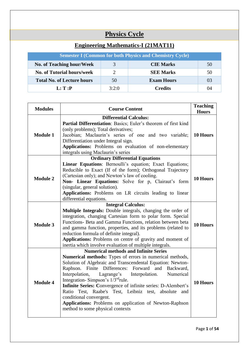# **Physics Cycle**

| <b>Engineering Mathematics-I (21MAT11)</b>                      |       |                   |    |  |  |  |  |
|-----------------------------------------------------------------|-------|-------------------|----|--|--|--|--|
| <b>Semester I (Common for both Physics and Chemistry Cycle)</b> |       |                   |    |  |  |  |  |
| <b>No. of Teaching hour/Week</b>                                | 3     | <b>CIE Marks</b>  | 50 |  |  |  |  |
| <b>No. of Tutorial hours/week</b>                               |       | <b>SEE Marks</b>  | 50 |  |  |  |  |
| <b>Total No. of Lecture hours</b>                               | 50    | <b>Exam Hours</b> | 03 |  |  |  |  |
| L: T:P                                                          | 3:2:0 | Credits           | 04 |  |  |  |  |

| <b>Modules</b>  | <b>Course Content</b>                                                                                        | <b>Teaching</b><br><b>Hours</b> |  |  |  |
|-----------------|--------------------------------------------------------------------------------------------------------------|---------------------------------|--|--|--|
|                 | <b>Differential Calculus:</b>                                                                                |                                 |  |  |  |
|                 | Partial Differentiation: Basics; Euler's theorem of first kind                                               |                                 |  |  |  |
|                 | (only problems); Total derivatives;                                                                          |                                 |  |  |  |
| <b>Module 1</b> | Jacobian; Maclaurin's series of one and two variable;                                                        | 10 Hours                        |  |  |  |
|                 | Differentiation under Integral sign.                                                                         |                                 |  |  |  |
|                 | Applications: Problems on evaluation of non-elementary                                                       |                                 |  |  |  |
|                 | integrals using Maclaurin's series                                                                           |                                 |  |  |  |
|                 | <b>Ordinary Differential Equations</b>                                                                       |                                 |  |  |  |
|                 | Linear Equations: Bernoulli's equation; Exact Equations;                                                     |                                 |  |  |  |
|                 | Reducible to Exact (If of the form); Orthogonal Trajectory                                                   |                                 |  |  |  |
| <b>Module 2</b> | (Cartesian only); and Newton's law of cooling.                                                               | 10 Hours                        |  |  |  |
|                 | Non- Linear Equations: Solve for p, Clairaut's form                                                          |                                 |  |  |  |
|                 | (singular, general solution).                                                                                |                                 |  |  |  |
|                 | Applications: Problems on LR circuits leading to linear                                                      |                                 |  |  |  |
|                 | differential equations.                                                                                      |                                 |  |  |  |
|                 | <b>Integral Calculus:</b>                                                                                    |                                 |  |  |  |
|                 | Multiple Integrals: Double integrals, changing the order of                                                  |                                 |  |  |  |
|                 | integration, changing Cartesian form to polar form. Special                                                  |                                 |  |  |  |
| <b>Module 3</b> | Functions- Beta and Gamma Functions, relation between beta                                                   | 10 Hours                        |  |  |  |
|                 | and gamma function, properties, and its problems (related to                                                 |                                 |  |  |  |
|                 | reduction formula of definite integral).                                                                     |                                 |  |  |  |
|                 | Applications: Problems on centre of gravity and moment of                                                    |                                 |  |  |  |
|                 | inertia which involve evaluation of multiple integrals.                                                      |                                 |  |  |  |
|                 | <b>Numerical methods and Infinite Series</b>                                                                 |                                 |  |  |  |
|                 | Numerical methods: Types of errors in numerical methods,                                                     |                                 |  |  |  |
|                 | Solution of Algebraic and Transcendental Equation: Newton-                                                   |                                 |  |  |  |
|                 | Raphson. Finite Differences: Forward and Backward,                                                           |                                 |  |  |  |
|                 | Interpolation,<br>Lagrange's<br>Interpolation.<br>Numerical<br>Integration-Simpson's 1/3 <sup>rd</sup> rule. |                                 |  |  |  |
| <b>Module 4</b> | Infinite Series: Convergence of infinite series: D-Alembert's                                                | 10 Hours                        |  |  |  |
|                 |                                                                                                              |                                 |  |  |  |
|                 | Ratio Test, Raabe's Test, Leibniz test, absolute<br>and<br>conditional convergent.                           |                                 |  |  |  |
|                 | Applications: Problems on application of Newton-Raphson                                                      |                                 |  |  |  |
|                 | method to some physical contexts                                                                             |                                 |  |  |  |
|                 |                                                                                                              |                                 |  |  |  |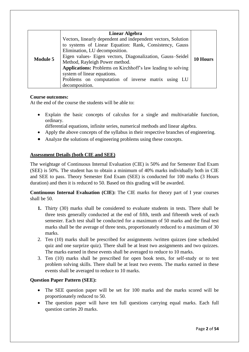|                 | <b>Linear Algebra</b>                                                                                                                                                                                                                                                                                                                                                                                                             |  |
|-----------------|-----------------------------------------------------------------------------------------------------------------------------------------------------------------------------------------------------------------------------------------------------------------------------------------------------------------------------------------------------------------------------------------------------------------------------------|--|
| <b>Module 5</b> | Vectors, linearly dependent and independent vectors, Solution<br>to systems of Linear Equation: Rank, Consistency, Gauss<br>Elimination, LU decomposition.<br>Eigen values- Eigen vectors, Diagonalization, Gauss-Seidel<br>Method, Rayleigh Power method.<br>Applications: Problems on Kirchhoff's law leading to solving<br>system of linear equations.<br>Problems on computation of inverse matrix using LU<br>decomposition. |  |

#### **Course outcomes:**

At the end of the course the students will be able to:

- Explain the basic concepts of calculus for a single and multivariable function, ordinary.
	- differential equations, infinite series, numerical methods and linear algebra.
- Apply the above concepts of the syllabus in their respective branches of engineering.
- Analyze the solutions of engineering problems using these concepts.

#### **Assessment Details (both CIE and SEE)**

The weightage of Continuous Internal Evaluation (CIE) is 50% and for Semester End Exam (SEE) is 50%. The student has to obtain a minimum of 40% marks individually both in CIE and SEE to pass. Theory Semester End Exam (SEE) is conducted for 100 marks (3 Hours duration) and then it is reduced to 50. Based on this grading will be awarded.

**Continuous Internal Evaluation (CIE):** The CIE marks for theory part of I year courses shall be 50.

- **1.** Thirty (30) marks shall be considered to evaluate students in tests. There shall be three tests generally conducted at the end of fifth, tenth and fifteenth week of each semester. Each test shall be conducted for a maximum of 50 marks and the final test marks shall be the average of three tests, proportionately reduced to a maximum of 30 marks.
- 2. Ten (10) marks shall be prescribed for assignments /written quizzes (one scheduled quiz and one surprize quiz). There shall be at least two assignments and two quizzes. The marks earned in these events shall be averaged to reduce to 10 marks.
- 3. Ten (10) marks shall be prescribed for open book tests, for self-study or to test problem solving skills. There shall be at least two events. The marks earned in these events shall be averaged to reduce to 10 marks.

#### **Question Paper Pattern (SEE):**

- The SEE question paper will be set for 100 marks and the marks scored will be proportionately reduced to 50.
- The question paper will have ten full questions carrying equal marks. Each full question carries 20 marks.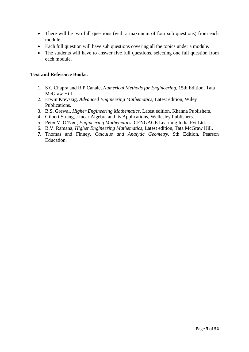- There will be two full questions (with a maximum of four sub questions) from each module.
- Each full question will have sub questions covering all the topics under a module.
- The students will have to answer five full questions, selecting one full question from each module.

#### **Text and Reference Books:**

- 1. S C Chapra and R P Canale, *Numerical Methods for Engineering,* 15th Edition, Tata McGraw Hill
- 2. Erwin Kreyszig, *Advanced Engineering Mathematics*, Latest edition, Wiley Publications.
- 3. B.S. Grewal, *Higher Engineering Mathematics*, Latest edition, Khanna Publishers.
- 4. Gilbert Strang, Linear Algebra and its Applications, Wellesley Publishers.
- 5. Peter V. O'Neil, *Engineering Mathematics*, CENGAGE Learning India Pvt Ltd.
- 6. B.V. Ramana, *Higher Engineering Mathematics*, Latest edition, Tata McGraw Hill.
- **7.** Thomas and Finney, *Calculus and Analytic Geometry,* 9th Edition, Pearson Education.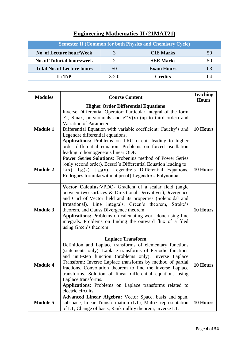| <b>Semester II (Common for both Physics and Chemistry Cycle)</b> |              |                   |    |  |  |  |  |
|------------------------------------------------------------------|--------------|-------------------|----|--|--|--|--|
| No. of Lecture hour/Week                                         | $\mathbf{R}$ | <b>CIE Marks</b>  | 50 |  |  |  |  |
| <b>No. of Tutorial hours/week</b>                                |              | <b>SEE Marks</b>  | 50 |  |  |  |  |
| <b>Total No. of Lecture hours</b>                                | 50           | <b>Exam Hours</b> | 03 |  |  |  |  |
| L: T: P                                                          | 3:2:0        | <b>Credits</b>    | 04 |  |  |  |  |

# **Engineering Mathematics-II (21MAT21)**

| <b>Modules</b>  | <b>Course Content</b>                                                                                                                                                                                                                                                                                                                                                                                                                                                                                              | <b>Teaching</b><br><b>Hours</b> |
|-----------------|--------------------------------------------------------------------------------------------------------------------------------------------------------------------------------------------------------------------------------------------------------------------------------------------------------------------------------------------------------------------------------------------------------------------------------------------------------------------------------------------------------------------|---------------------------------|
| <b>Module 1</b> | <b>Higher Order Differential Equations</b><br>Inverse Differential Operator: Particular integral of the form<br>$e^{ax}$ , Sinax, polynomials and $e^{ax}V(x)$ (up to third order) and<br>Variation of Parameters.<br>Differential Equation with variable coefficient: Cauchy's and<br>Legendre differential equations.<br>Applications: Problems on LRC circuit leading to higher<br>order differential equation. Problems on forced oscillation<br>leading to homogeneous linear ODE                             | 10 Hours                        |
| <b>Module 2</b> | <b>Power Series Solutions:</b> Frobenius method of Power Series<br>(only second order), Bessel's Differential Equation leading to<br>$J_n(x)$ , $J_{1/2}(x)$ , $J_{-1/2}(x)$ , Legendre's Differential Equations,<br>Rodrigues formula(without proof)-Legendre's Polynomial.                                                                                                                                                                                                                                       | 10 Hours                        |
| <b>Module 3</b> | Vector Calculus: VPDO- Gradient of a scalar field (angle<br>between two surfaces & Directional Derivatives), Divergence<br>and Curl of Vector field and its properties (Solenoidal and<br>Irrotational). Line integrals, Green's theorem, Stroke's<br>theorem, and Gauss Divergence theorem.<br>Applications: Problems on calculating work done using line<br>integrals. Problems on finding the outward flux of a filed<br>using Green's theorem                                                                  | 10 Hours                        |
| <b>Module 4</b> | <b>Laplace Transform</b><br>Definition and Laplace transforms of elementary functions<br>(statements only). Laplace transforms of Periodic functions<br>and unit-step function (problems only). Inverse Laplace<br>Transform: Inverse Laplace transforms by method of partial<br>fractions, Convolution theorem to find the inverse Laplace<br>transforms. Solution of linear differential equations using<br>Laplace transforms.<br>Applications: Problems on Laplace transforms related to<br>electric circuits. | 10 Hours                        |
| <b>Module 5</b> | Advanced Linear Algebra: Vector Space, basis and span,<br>subspace, linear Transformation (LT), Matrix representation<br>of LT, Change of basis, Rank nullity theorem, inverse LT.                                                                                                                                                                                                                                                                                                                                 | 10 Hours                        |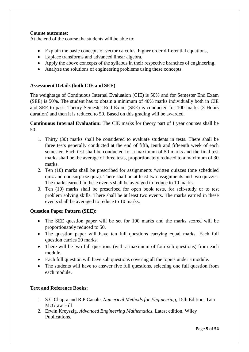#### **Course outcomes:**

At the end of the course the students will be able to:

- Explain the basic concepts of vector calculus, higher order differential equations,
- Laplace transforms and advanced linear algebra.
- Apply the above concepts of the syllabus in their respective branches of engineering.
- Analyze the solutions of engineering problems using these concepts.

#### **Assessment Details (both CIE and SEE)**

The weightage of Continuous Internal Evaluation (CIE) is 50% and for Semester End Exam (SEE) is 50%. The student has to obtain a minimum of 40% marks individually both in CIE and SEE to pass. Theory Semester End Exam (SEE) is conducted for 100 marks (3 Hours duration) and then it is reduced to 50. Based on this grading will be awarded.

**Continuous Internal Evaluation:** The CIE marks for theory part of I year courses shall be 50.

- 1. Thirty (30) marks shall be considered to evaluate students in tests. There shall be three tests generally conducted at the end of fifth, tenth and fifteenth week of each semester. Each test shall be conducted for a maximum of 50 marks and the final test marks shall be the average of three tests, proportionately reduced to a maximum of 30 marks.
- 2. Ten (10) marks shall be prescribed for assignments /written quizzes (one scheduled quiz and one surprize quiz). There shall be at least two assignments and two quizzes. The marks earned in these events shall be averaged to reduce to 10 marks.
- 3. Ten (10) marks shall be prescribed for open book tests, for self-study or to test problem solving skills. There shall be at least two events. The marks earned in these events shall be averaged to reduce to 10 marks.

#### **Question Paper Pattern (SEE):**

- The SEE question paper will be set for 100 marks and the marks scored will be proportionately reduced to 50.
- The question paper will have ten full questions carrying equal marks. Each full question carries 20 marks.
- There will be two full questions (with a maximum of four sub questions) from each module.
- Each full question will have sub questions covering all the topics under a module.
- The students will have to answer five full questions, selecting one full question from each module.

#### **Text and Reference Books:**

- 1. S C Chapra and R P Canale, *Numerical Methods for Engineering,* 15th Edition, Tata McGraw Hill
- 2. Erwin Kreyszig, *Advanced Engineering Mathematics*, Latest edition, Wiley Publications.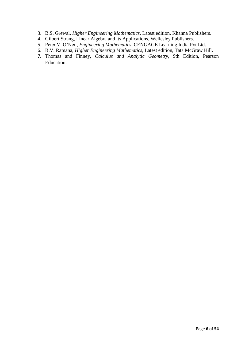- 3. B.S. Grewal, *Higher Engineering Mathematics*, Latest edition, Khanna Publishers.
- 4. Gilbert Strang, Linear Algebra and its Applications, Wellesley Publishers.
- 5. Peter V. O'Neil, *Engineering Mathematics*, CENGAGE Learning India Pvt Ltd.
- 6. B.V. Ramana, *Higher Engineering Mathematics*, Latest edition, Tata McGraw Hill.
- **7.** Thomas and Finney, *Calculus and Analytic Geometry,* 9th Edition, Pearson Education.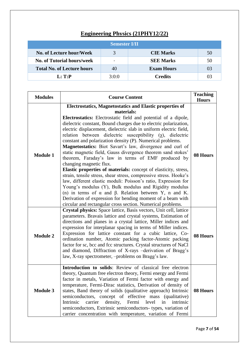# **Engineering Physics (21PHY12/22)**

| <b>Semester I/II</b>              |                          |                   |    |  |  |  |  |
|-----------------------------------|--------------------------|-------------------|----|--|--|--|--|
| No. of Lecture hour/Week          | 3                        | <b>CIE Marks</b>  | 50 |  |  |  |  |
| <b>No. of Tutorial hours/week</b> | $\overline{\phantom{0}}$ | <b>SEE Marks</b>  | 50 |  |  |  |  |
| <b>Total No. of Lecture hours</b> | 40                       | <b>Exam Hours</b> | 03 |  |  |  |  |
| L: T: P                           | 3:0:0                    | <b>Credits</b>    | 03 |  |  |  |  |

| <b>Modules</b>  | <b>Course Content</b>                                                                                                                                                                                                                                                                                                                                                                                                                                                                                                                                                                                                                                                                                                                                                                                                                                                                                                                                                                                                                                                                                              | <b>Teaching</b><br><b>Hours</b> |
|-----------------|--------------------------------------------------------------------------------------------------------------------------------------------------------------------------------------------------------------------------------------------------------------------------------------------------------------------------------------------------------------------------------------------------------------------------------------------------------------------------------------------------------------------------------------------------------------------------------------------------------------------------------------------------------------------------------------------------------------------------------------------------------------------------------------------------------------------------------------------------------------------------------------------------------------------------------------------------------------------------------------------------------------------------------------------------------------------------------------------------------------------|---------------------------------|
| <b>Module 1</b> | Electrostatics, Magnetostatics and Elastic properties of<br>materials:<br>Electrostatics: Electrostatic field and potential of a dipole,<br>dielectric constant, Bound charges due to electric polarization,<br>electric displacement, dielectric slab in uniform electric field,<br>relation between dielectric susceptibility $(\gamma)$ , dielectric<br>constant and polarization density (P). Numerical problems.<br>Magnetostatics: Biot Savart's law, divergence and curl of<br>static magnetic field, Gauss divergence theorem sand stokes'<br>theorem, Faraday's law in terms of EMF produced by<br>changing magnetic flux.<br><b>Elastic properties of materials:</b> concept of elasticity, stress,<br>strain, tensile stress, shear stress, compressive stress. Hooke's<br>law, different elastic moduli: Poisson's ratio, Expression for<br>Young's modulus (Y), Bulk modulus and Rigidity modulus<br>(n) in terms of $\alpha$ and $\beta$ . Relation between Y, n and K.<br>Derivation of expression for bending moment of a beam with<br>circular and rectangular cross section. Numerical problems. | 08 Hours                        |
| <b>Module 2</b> | Crystal physics: Space lattice, Basis vectors, Unit cell, lattice<br>parameters. Bravais lattice and crystal systems, Estimation of<br>directions and planes in a crystal lattice, Miller indices and<br>expression for interplanar spacing in terms of Miller indices.<br>Expression for lattice constant for a cubic lattice, Co-<br>ordination number, Atomic packing factor-Atomic packing<br>factor for sc, bcc and fcc structures. Crystal structures of NaCl<br>and diamond, Diffraction of X-rays -derivation of Bragg's<br>law, X-ray spectrometer, -problems on Bragg's law.                                                                                                                                                                                                                                                                                                                                                                                                                                                                                                                             | 08 Hours                        |
| <b>Module 3</b> | Introduction to solids: Review of classical free electron<br>theory, Quantum free electron theory, Fermi energy and Fermi<br>factor in metals, Variation of Fermi factor with energy and<br>temperature, Fermi-Dirac statistics, Derivation of density of<br>states, Band theory of solids (qualitative approach) Intrinsic<br>semiconductors, concept of effective mass (qualitative)<br>carrier<br>Intrinsic<br>density,<br>Fermi<br>level<br>in<br>intrinsic<br>semiconductors, Extrinsic semiconductors- types, variation of<br>carrier concentration with temperature, variation of Fermi                                                                                                                                                                                                                                                                                                                                                                                                                                                                                                                     | 08 Hours                        |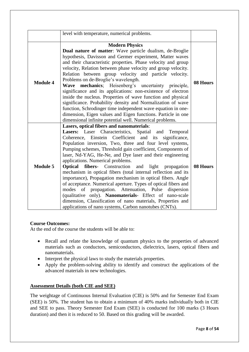|                 | level with temperature, numerical problems.                                                                                                                                                                                                                                                                                                                                                                                                                                                                                                                                                                                                                                                                                                                                                                                                                                                               |          |
|-----------------|-----------------------------------------------------------------------------------------------------------------------------------------------------------------------------------------------------------------------------------------------------------------------------------------------------------------------------------------------------------------------------------------------------------------------------------------------------------------------------------------------------------------------------------------------------------------------------------------------------------------------------------------------------------------------------------------------------------------------------------------------------------------------------------------------------------------------------------------------------------------------------------------------------------|----------|
| <b>Module 4</b> | <b>Modern Physics</b><br>Dual nature of matter: Wave particle dualism, de-Broglie<br>hypothesis, Davisson and Germer experiment, Matter waves<br>and their characteristic properties. Phase velocity and group<br>velocity, Relation between phase velocity and group velocity.<br>Relation between group velocity and particle velocity.<br>Problems on de-Broglie's wavelength.<br>mechanics; Heisenberg's uncertainty principle,<br>Wave<br>significance and its applications: non-existence of electron<br>inside the nucleus. Properties of wave function and physical<br>significance. Probability density and Normalization of wave                                                                                                                                                                                                                                                                | 08 Hours |
|                 | function, Schrodinger time independent wave equation in one-<br>dimension, Eigen values and Eigen functions. Particle in one<br>dimensional infinite potential well. Numerical problems.                                                                                                                                                                                                                                                                                                                                                                                                                                                                                                                                                                                                                                                                                                                  |          |
| <b>Module 5</b> | Lasers, optical fibers and nanomaterials:<br>Lasers: Laser Characteristics, Spatial and<br>Temporal<br>Coherence, Einstein Coefficient and its significance,<br>Population inversion, Two, three and four level systems,<br>Pumping schemes, Threshold gain coefficient, Components of<br>laser, Nd-YAG, He-Ne, and Dye laser and their engineering<br>applications. Numerical problems.<br><b>Optical fibers-</b> Construction<br>and light propagation<br>mechanism in optical fibers (total internal reflection and its<br>importance), Propagation mechanism in optical fibers. Angle<br>of acceptance. Numerical aperture. Types of optical fibers and<br>modes of propagation. Attenuation, Pulse<br>dispersion<br>(qualitative only). Nanomaterials- Effect of nano-scale<br>dimension, Classification of nano materials, Properties and<br>applications of nano systems, Carbon nanotubes (CNTs). | 08 Hours |

#### **Course Outcomes:**

At the end of the course the students will be able to:

- Recall and relate the knowledge of quantum physics to the properties of advanced materials such as conductors, semiconductors, dielectrics, lasers, optical fibers and nanomaterials.
- Interpret the physical laws to study the materials properties.
- Apply the problem-solving ability to identify and construct the applications of the advanced materials in new technologies.

#### **Assessment Details (both CIE and SEE)**

The weightage of Continuous Internal Evaluation (CIE) is 50% and for Semester End Exam (SEE) is 50%. The student has to obtain a minimum of 40% marks individually both in CIE and SEE to pass. Theory Semester End Exam (SEE) is conducted for 100 marks (3 Hours duration) and then it is reduced to 50. Based on this grading will be awarded.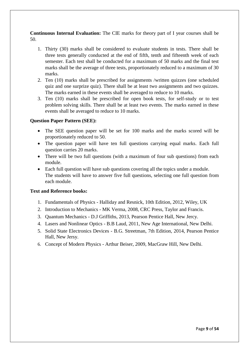**Continuous Internal Evaluation:** The CIE marks for theory part of I year courses shall be 50.

- 1. Thirty (30) marks shall be considered to evaluate students in tests. There shall be three tests generally conducted at the end of fifth, tenth and fifteenth week of each semester. Each test shall be conducted for a maximum of 50 marks and the final test marks shall be the average of three tests, proportionately reduced to a maximum of 30 marks.
- 2. Ten (10) marks shall be prescribed for assignments /written quizzes (one scheduled quiz and one surprize quiz). There shall be at least two assignments and two quizzes. The marks earned in these events shall be averaged to reduce to 10 marks.
- 3. Ten (10) marks shall be prescribed for open book tests, for self-study or to test problem solving skills. There shall be at least two events. The marks earned in these events shall be averaged to reduce to 10 marks.

#### **Question Paper Pattern (SEE):**

- The SEE question paper will be set for 100 marks and the marks scored will be proportionately reduced to 50.
- The question paper will have ten full questions carrying equal marks. Each full question carries 20 marks.
- There will be two full questions (with a maximum of four sub questions) from each module.
- Each full question will have sub questions covering all the topics under a module. The students will have to answer five full questions, selecting one full question from each module.

#### **Text and Reference books:**

- 1. Fundamentals of Physics Halliday and Resnick, 10th Edition, 2012, Wiley, UK
- 2. Introduction to Mechanics MK Verma, 2008, CRC Press, Taylor and Francis.
- 3. Quantum Mechanics D.J Griffiths, 2013, Pearson Pentice Hall, New Jercy.
- 4. Lasers and Nonlinear Optics B.B Laud, 2011, New Age International, New Delhi.
- 5. Solid State Electronics Devices B.G. Streetman, 7th Edition, 2014, Pearson Pentice Hall, New Jersy.
- 6. Concept of Modern Physics Arthur Beiser, 2009, MacGraw Hill, New Delhi.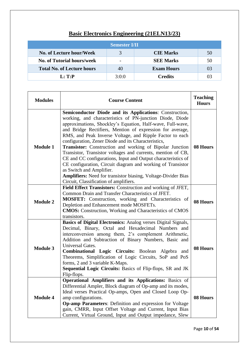|                                   | <b>Semester I/II</b>     |                   |    |
|-----------------------------------|--------------------------|-------------------|----|
| No. of Lecture hour/Week          |                          | <b>CIE Marks</b>  | 50 |
| <b>No. of Tutorial hours/week</b> | $\overline{\phantom{0}}$ | <b>SEE Marks</b>  | 50 |
| <b>Total No. of Lecture hours</b> | 40                       | <b>Exam Hours</b> | 03 |
| $L: \mathbf{T}:\mathbf{P}$        | 3:0:0                    | <b>Credits</b>    | 03 |

# **Basic Electronics Engineering (21ELN13/23)**

| <b>Modules</b>  | <b>Course Content</b>                                                                                                                                                                                                                                                                                                                                                                                                                                                                                                                                                                                                                                                                                                                                                       |          |  |
|-----------------|-----------------------------------------------------------------------------------------------------------------------------------------------------------------------------------------------------------------------------------------------------------------------------------------------------------------------------------------------------------------------------------------------------------------------------------------------------------------------------------------------------------------------------------------------------------------------------------------------------------------------------------------------------------------------------------------------------------------------------------------------------------------------------|----------|--|
| <b>Module 1</b> | <b>Semiconductor Diode and its Applications: Construction,</b><br>working, and characteristics of PN-junction Diode, Diode<br>approximations, Shockley's Equation, Half-wave, Full-wave,<br>and Bridge Rectifiers, Mention of expression for average,<br>RMS, and Peak Inverse Voltage, and Ripple Factor to each<br>configuration, Zener Diode and its Characteristics,<br>Transistor: Construction and working of Bipolar Junction<br>Transistor, Transistor voltages and currents, mention of CB,<br>CE and CC configurations, Input and Output characteristics of<br>CE configuration, Circuit diagram and working of Transistor<br>as Switch and Amplifier.<br>Amplifiers: Need for transistor biasing, Voltage-Divider Bias<br>Circuit, Classification of amplifiers. | 08 Hours |  |
| <b>Module 2</b> | Field Effect Transistors: Construction and working of JFET,<br>Common Drain and Transfer Characteristics of JFET.<br><b>MOSFET:</b> Construction, working and Characteristics of<br>Depletion and Enhancement mode MOSFETs.<br><b>CMOS:</b> Construction, Working and Characteristics of CMOS<br>transistors.                                                                                                                                                                                                                                                                                                                                                                                                                                                               | 08 Hours |  |
| <b>Module 3</b> | Basics of Digital Electronics: Analog verses Digital Signals,<br>Decimal, Binary, Octal and Hexadecimal Numbers and<br>interconversion among them, 2's complement Arithmetic,<br>Addition and Subtraction of Binary Numbers, Basic and<br>Universal Gates.<br>Combinational Logic Circuits: Boolean Algebra and<br>Theorems, Simplification of Logic Circuits, SoP and PoS<br>forms, 2 and 3 variable K-Maps.<br>Sequential Logic Circuits: Basics of Flip-flops, SR and JK<br>Flip-flops.                                                                                                                                                                                                                                                                                  | 08 Hours |  |
| <b>Module 4</b> | Operational Amplifiers and its Applications: Basics of<br>Differential Ampler, Block diagram of Op-amp and its modes,<br>Ideal verses Practical Op-amps, Open and Closed Loop Op-<br>amp configurations.<br>Op-amp Parameters: Definition and expression for Voltage<br>gain, CMRR, Input Offset Voltage and Current, Input Bias<br>Current, Virtual Ground, Input and Output impedance, Slew                                                                                                                                                                                                                                                                                                                                                                               | 08 Hours |  |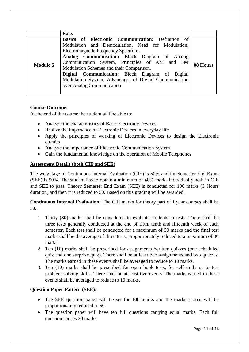|                 | Rate.                                                                                                                                                                                                                                                                                                                                                                                                                                  |          |
|-----------------|----------------------------------------------------------------------------------------------------------------------------------------------------------------------------------------------------------------------------------------------------------------------------------------------------------------------------------------------------------------------------------------------------------------------------------------|----------|
| <b>Module 5</b> | Basics of Electronic Communication: Definition of<br>Modulation and Demodulation, Need for Modulation,<br>Electromagnetic Frequency Spectrum.<br>Analog Communication: Block Diagram of Analog<br>Communication System, Principles of AM and FM<br>Modulation Schemes and their Comparison.<br>Digital Communication: Block Diagram of Digital<br>Modulation System, Advantages of Digital Communication<br>over Analog Communication. | 08 Hours |

#### **Course Outcome:**

At the end of the course the student will be able to:

- Analyze the characteristics of Basic Electronic Devices
- Realize the importance of Electronic Devices in everyday life
- Apply the principles of working of Electronic Devices to design the Electronic circuits
- Analyze the importance of Electronic Communication System
- Gain the fundamental knowledge on the operation of Mobile Telephones

#### **Assessment Details (both CIE and SEE)**

The weightage of Continuous Internal Evaluation (CIE) is 50% and for Semester End Exam (SEE) is 50%. The student has to obtain a minimum of 40% marks individually both in CIE and SEE to pass. Theory Semester End Exam (SEE) is conducted for 100 marks (3 Hours duration) and then it is reduced to 50. Based on this grading will be awarded.

**Continuous Internal Evaluation:** The CIE marks for theory part of I year courses shall be 50.

- 1. Thirty (30) marks shall be considered to evaluate students in tests. There shall be three tests generally conducted at the end of fifth, tenth and fifteenth week of each semester. Each test shall be conducted for a maximum of 50 marks and the final test marks shall be the average of three tests, proportionately reduced to a maximum of 30 marks.
- 2. Ten (10) marks shall be prescribed for assignments /written quizzes (one scheduled quiz and one surprize quiz). There shall be at least two assignments and two quizzes. The marks earned in these events shall be averaged to reduce to 10 marks.
- 3. Ten (10) marks shall be prescribed for open book tests, for self-study or to test problem solving skills. There shall be at least two events. The marks earned in these events shall be averaged to reduce to 10 marks.

#### **Question Paper Pattern (SEE):**

- The SEE question paper will be set for 100 marks and the marks scored will be proportionately reduced to 50.
- The question paper will have ten full questions carrying equal marks. Each full question carries 20 marks.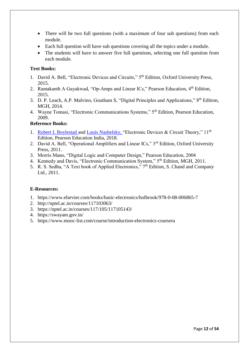- There will be two full questions (with a maximum of four sub questions) from each module.
- Each full question will have sub questions covering all the topics under a module.
- The students will have to answer five full questions, selecting one full question from each module.

#### **Text Books:**

- 1. David A. Bell, "Electronic Devices and Circuits," 5th Edition, Oxford University Press, 2015.
- 2. Ramakanth A Gayakwad, "Op-Amps and Linear ICs," Pearson Education, 4<sup>th</sup> Edition, 2015.
- 3. D. P. Leach, A.P. Malvino, Goutham S, "Digital Principles and Applications," 8<sup>th</sup> Edition, MGH, 2014.
- 4. Wayne Tomasi, "Electronic Communications Systems," 5th Edition, Pearson Education, 2009.

#### **Reference Books:**

- 1. [Robert L Boylestad](https://www.sapnaonline.com/shop/author/robert-l-boylestad) and [Louis Nashelsky,](https://www.sapnaonline.com/shop/author/louis-nashelsky) "Electronic Devices & Circuit Theory," 11<sup>th</sup> Edition, Pearson Education India, 2018.
- 2. David A. Bell, "Operational Amplifiers and Linear ICs," 3<sup>rd</sup> Edition, Oxford University Press, 2011.
- 3. Morris Mano, "Digital Logic and Computer Design," Pearson Education, 2004
- 4. Kennedy and Davis, "Electronic Communication System," 5th Edition, MGH, 2011.
- 5. R. S. Sedha, "A Text book of Applied Electronics," 7<sup>th</sup> Edition, S. Chand and Company Ltd., 2011.

#### **E-Resources:**

- 1. https://www.elsevier.com/books/basic-electronics/holbrook/978-0-08-006865-7
- 2. http://nptel.ac.in/courses/117103063/
- 3. https://nptel.ac.in/courses/117/105/117105143/
- 4. https://swayam.gov.in/
- 5. https://www.mooc-list.com/course/introduction-electronics-coursera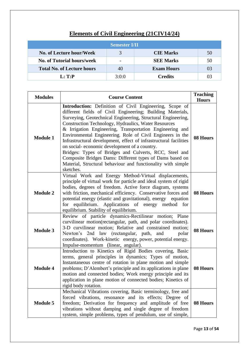|                                   | <b>Semester I/II</b> |                   |    |
|-----------------------------------|----------------------|-------------------|----|
| No. of Lecture hour/Week          | $\mathbf{\Omega}$    | <b>CIE Marks</b>  | 50 |
| <b>No. of Tutorial hours/week</b> |                      | <b>SEE Marks</b>  | 50 |
| <b>Total No. of Lecture hours</b> | 40                   | <b>Exam Hours</b> | 03 |
| L: T: P                           | 3:0:0                | <b>Credits</b>    | 03 |

# **Elements of Civil Engineering (21CIV14/24)**

| <b>Modules</b>  | <b>Course Content</b>                                                                                                                                                                                                                                                                                                                                                                                                                                                                                                                                                                                                                                                                          | <b>Teaching</b><br><b>Hours</b> |
|-----------------|------------------------------------------------------------------------------------------------------------------------------------------------------------------------------------------------------------------------------------------------------------------------------------------------------------------------------------------------------------------------------------------------------------------------------------------------------------------------------------------------------------------------------------------------------------------------------------------------------------------------------------------------------------------------------------------------|---------------------------------|
| <b>Module 1</b> | Introduction: Definition of Civil Engineering, Scope of<br>different fields of Civil Engineering; Building Materials,<br>Surveying, Geotechnical Engineering, Structural Engineering,<br>Construction Technology, Hydraulics, Water Resources<br>& Irrigation Engineering, Transportation Engineering and<br>Environmental Engineering. Role of Civil Engineers in the<br>Infrastructural development, effect of infrastructural facilities<br>on social-economic development of a country.<br>Bridges: Types of Bridges and Culverts, RCC, Steel and<br>Composite Bridges Dams: Different types of Dams based on<br>Material, Structural behaviour and functionality with simple<br>sketches. | 08 Hours                        |
| <b>Module 2</b> | Virtual Work and Energy Method-Virtual displacements,<br>principle of virtual work for particle and ideal system of rigid<br>bodies, degrees of freedom. Active force diagram, systems<br>with friction, mechanical efficiency. Conservative forces and<br>potential energy (elastic and gravitational), energy equation<br>for equilibrium. Applications of energy method for<br>equilibrium. Stability of equilibrium.                                                                                                                                                                                                                                                                       | 08 Hours                        |
| <b>Module 3</b> | Review of particle dynamics-Rectilinear motion; Plane<br>curvilinear motion(rectangular, path, and polar coordinates).<br>3-D curvilinear motion; Relative and constrained motion;<br>Newton's 2nd law (rectangular, path, and<br>polar<br>coordinates). Work-kinetic energy, power, potential energy.<br>Impulse-momentum (linear, angular).                                                                                                                                                                                                                                                                                                                                                  | 08 Hours                        |
| <b>Module 4</b> | Introduction to Kinetics of Rigid Bodies covering, Basic<br>terms, general principles in dynamics; Types of motion,<br>Instantaneous centre of rotation in plane motion and simple<br>problems; D'Alembert's principle and its applications in plane<br>motion and connected bodies; Work energy principle and its<br>application in plane motion of connected bodies; Kinetics of<br>rigid body rotation.                                                                                                                                                                                                                                                                                     | 08 Hours                        |
| <b>Module 5</b> | Mechanical Vibrations covering, Basic terminology, free and<br>forced vibrations, resonance and its effects; Degree of<br>freedom; Derivation for frequency and amplitude of free<br>vibrations without damping and single degree of freedom<br>system, simple problems, types of pendulum, use of simple,                                                                                                                                                                                                                                                                                                                                                                                     | 08 Hours                        |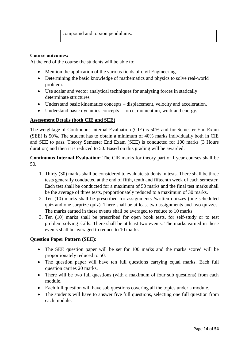|  | compound and torsion pendulums. |  |
|--|---------------------------------|--|
|  |                                 |  |

#### **Course outcomes:**

At the end of the course the students will be able to:

- Mention the application of the various fields of civil Engineering.
- Determining the basic knowledge of mathematics and physics to solve real-world problem.
- Use scalar and vector analytical techniques for analysing forces in statically determinate structures
- Understand basic kinematics concepts displacement, velocity and acceleration.
- Understand basic dynamics concepts force, momentum, work and energy.

#### **Assessment Details (both CIE and SEE)**

The weightage of Continuous Internal Evaluation (CIE) is 50% and for Semester End Exam (SEE) is 50%. The student has to obtain a minimum of 40% marks individually both in CIE and SEE to pass. Theory Semester End Exam (SEE) is conducted for 100 marks (3 Hours duration) and then it is reduced to 50. Based on this grading will be awarded.

#### **Continuous Internal Evaluation:** The CIE marks for theory part of I year courses shall be 50.

- 1. Thirty (30) marks shall be considered to evaluate students in tests. There shall be three tests generally conducted at the end of fifth, tenth and fifteenth week of each semester. Each test shall be conducted for a maximum of 50 marks and the final test marks shall be the average of three tests, proportionately reduced to a maximum of 30 marks.
- 2. Ten (10) marks shall be prescribed for assignments /written quizzes (one scheduled quiz and one surprize quiz). There shall be at least two assignments and two quizzes. The marks earned in these events shall be averaged to reduce to 10 marks.
- 3. Ten (10) marks shall be prescribed for open book tests, for self-study or to test problem solving skills. There shall be at least two events. The marks earned in these events shall be averaged to reduce to 10 marks.

#### **Question Paper Pattern (SEE):**

- The SEE question paper will be set for 100 marks and the marks scored will be proportionately reduced to 50.
- The question paper will have ten full questions carrying equal marks. Each full question carries 20 marks.
- There will be two full questions (with a maximum of four sub questions) from each module.
- Each full question will have sub questions covering all the topics under a module.
- The students will have to answer five full questions, selecting one full question from each module.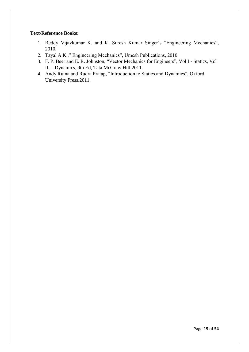#### **Text/Reference Books:**

- 1. Reddy Vijaykumar K. and K. Suresh Kumar Singer's "Engineering Mechanics", 2010.
- 2. Tayal A.K.," Engineering Mechanics", Umesh Publications, 2010.
- 3. F. P. Beer and E. R. Johnston, "Vector Mechanics for Engineers", Vol I Statics, Vol II, – Dynamics, 9th Ed, Tata McGraw Hill,2011.
- 4. Andy Ruina and Rudra Pratap, "Introduction to Statics and Dynamics", Oxford University Press,2011.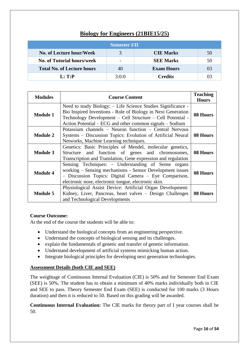### **Biology for Engineers (21BIE15/25)**

|                                   | <b>Semester I/II</b> |                   |    |
|-----------------------------------|----------------------|-------------------|----|
| No. of Lecture hour/Week          | 3                    | <b>CIE Marks</b>  | 50 |
| <b>No. of Tutorial hours/week</b> |                      | <b>SEE Marks</b>  | 50 |
| <b>Total No. of Lecture hours</b> | 40                   | <b>Exam Hours</b> | 03 |
| L: T: P                           | 3:0:0                | <b>Credits</b>    | 03 |

| <b>Modules</b>  | <b>Course Content</b>                                                                                                                                                                                                                                  | <b>Teaching</b><br><b>Hours</b> |
|-----------------|--------------------------------------------------------------------------------------------------------------------------------------------------------------------------------------------------------------------------------------------------------|---------------------------------|
| <b>Module 1</b> | Need to study Biology: - Life Science Studies Significance -<br>Bio Inspired Inventions - Role of Biology in Next Generation<br>Technology Development - Cell Structure - Cell Potential -<br>Action Potential – ECG and other common signals – Sodium | 08 Hours                        |
| <b>Module 2</b> | Potassium channels – Neuron function – Central Nervous<br>Systems – Discussion Topics: Evolution of Artificial Neural<br>Networks, Machine Learning techniques.                                                                                        | 08 Hours                        |
| <b>Module 3</b> | Genetics: Basic Principles of Mendel, molecular genetics,<br>Structure and function of genes and chromosomes,<br>Transcription and Translation, Gene expression and regulation                                                                         | 08 Hours                        |
| <b>Module 4</b> | Sensing Techniques: - Understanding of Sense organs<br>working – Sensing mechanisms - Sensor Development issues<br>- Discussion Topics: Digital Camera - Eye Comparison,<br>electronic nose, electronic tongue, electronic skin.                       | 08 Hours                        |
| <b>Module 5</b> | Physiological Assist Device: Artificial Organ Development:<br>Kidney, Liver, Pancreas, heart valves – Design Challenges<br>and Technological Developments                                                                                              | 08 Hours                        |

#### **Course Outcome:**

At the end of the course the students will be able to:

- Understand the biological concepts from an engineering perspective.
- Understand the concepts of biological sensing and its challenges.
- explain the fundamentals of genetic and transfer of genetic information.
- Understand development of artificial systems mimicking human action.
- Integrate biological principles for developing next generation technologies.

#### **Assessment Details (both CIE and SEE)**

The weightage of Continuous Internal Evaluation (CIE) is 50% and for Semester End Exam (SEE) is 50%. The student has to obtain a minimum of 40% marks individually both in CIE and SEE to pass. Theory Semester End Exam (SEE) is conducted for 100 marks (3 Hours duration) and then it is reduced to 50. Based on this grading will be awarded.

**Continuous Internal Evaluation:** The CIE marks for theory part of I year courses shall be 50.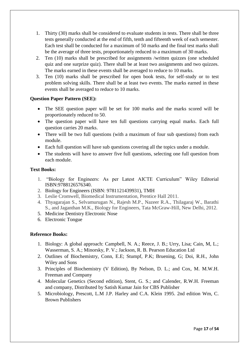- 1. Thirty (30) marks shall be considered to evaluate students in tests. There shall be three tests generally conducted at the end of fifth, tenth and fifteenth week of each semester. Each test shall be conducted for a maximum of 50 marks and the final test marks shall be the average of three tests, proportionately reduced to a maximum of 30 marks.
- 2. Ten (10) marks shall be prescribed for assignments /written quizzes (one scheduled quiz and one surprize quiz). There shall be at least two assignments and two quizzes. The marks earned in these events shall be averaged to reduce to 10 marks.
- 3. Ten (10) marks shall be prescribed for open book tests, for self-study or to test problem solving skills. There shall be at least two events. The marks earned in these events shall be averaged to reduce to 10 marks.

#### **Question Paper Pattern (SEE):**

- The SEE question paper will be set for 100 marks and the marks scored will be proportionately reduced to 50.
- The question paper will have ten full questions carrying equal marks. Each full question carries 20 marks.
- There will be two full questions (with a maximum of four sub questions) from each module.
- Each full question will have sub questions covering all the topics under a module.
- The students will have to answer five full questions, selecting one full question from each module.

#### **Text Books:**

- 1. "Biology for Engineers: As per Latest AICTE Curriculum" Wiley Editorial ISBN:9788126576340.
- 2. Biology for Engineers (ISBN: 9781121439931), TMH
- 3. Leslie Cromwell, Biomedical Instrumentation, Prentice Hall 2011.
- 4. Thyagarajan S., Selvamurugan N., Rajesh M.P., Nazeer R.A., Thilagaraj W., Barathi S., and Jaganthan M.K., Biology for Engineers, Tata McGraw-Hill, New Delhi, 2012.
- 5. [Medicine Dentistry Electronic Nose](https://www.amrita.edu/course/3.https:/www.sciencedirect.com/topics/medicine-and-dentistry/electronic-nose)
- 6. [Electronic Tongue](https://www.sciencedirect.com/topics/agricultural-and-biological-sciences/electronic-tongue)

#### **Reference Books:**

- 1. Biology: A global approach: Campbell, N. A.; Reece, J. B.; Urry, Lisa; Cain, M, L.; Wasserman, S. A.; Minorsky, P. V.; Jackson, R. B. Pearson Education Ltd
- 2. Outlines of Biochemistry, Conn, E.E; Stumpf, P.K; Bruening, G; Doi, R.H., John Wiley and Sons
- 3. Principles of Biochemistry (V Edition), By Nelson, D. L.; and Cox, M. M.W.H. Freeman and Company
- 4. Molecular Genetics (Second edition), Stent, G. S.; and Calender, R.W.H. Freeman and company, Distributed by Satish Kumar Jain for CBS Publisher
- 5. Microbiology, Prescott, L.M J.P. Harley and C.A. Klein 1995. 2nd edition Wm, C. Brown Publishers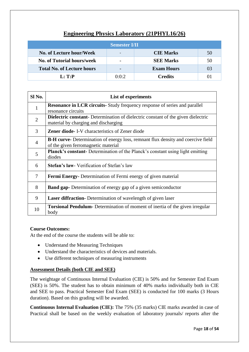### **Engineering Physics Laboratory (21PHYL16/26)**

|                                   | <b>Semester I/II</b> |                   |    |
|-----------------------------------|----------------------|-------------------|----|
| No. of Lecture hour/Week          |                      | <b>CIE Marks</b>  | 50 |
| <b>No. of Tutorial hours/week</b> |                      | <b>SEE Marks</b>  | 50 |
| <b>Total No. of Lecture hours</b> |                      | <b>Exam Hours</b> | 03 |
| $L: \mathbf{T}:\mathbf{P}$        | 0:0:2                | Credits           |    |

| Sl No.         | List of experiments                                                                                                              |
|----------------|----------------------------------------------------------------------------------------------------------------------------------|
| $\mathbf{1}$   | <b>Resonance in LCR circuits-</b> Study frequency response of series and parallel<br>resonance circuits                          |
| $\overline{2}$ | <b>Dielectric constant-</b> Determination of dielectric constant of the given dielectric<br>material by charging and discharging |
| 3              | <b>Zener diode-I-V</b> characteristics of Zener diode                                                                            |
| $\overline{4}$ | <b>B-H curve-</b> Determination of energy loss, remnant flux density and coercive field<br>of the given ferromagnetic material   |
| 5              | Planck's constant- Determination of the Planck's constant using light emitting<br>diodes                                         |
| 6              | <b>Stefan's law-</b> Verification of Stefan's law                                                                                |
| $\overline{7}$ | <b>Fermi Energy-</b> Determination of Fermi energy of given material                                                             |
| 8              | <b>Band gap-</b> Determination of energy gap of a given semiconductor                                                            |
| 9              | <b>Laser diffraction-</b> Determination of wavelength of given laser                                                             |
| 10             | <b>Torsional Pendulum-</b> Determination of moment of inertia of the given irregular<br>body                                     |

#### **Course Outcomes:**

At the end of the course the students will be able to:

- Understand the Measuring Techniques
- Understand the characteristics of devices and materials.
- Use different techniques of measuring instruments

#### **Assessment Details (both CIE and SEE)**

The weightage of Continuous Internal Evaluation (CIE) is 50% and for Semester End Exam (SEE) is 50%. The student has to obtain minimum of 40% marks individually both in CIE and SEE to pass. Practical Semester End Exam (SEE) is conducted for 100 marks (3 Hours duration). Based on this grading will be awarded.

**Continuous Internal Evaluation (CIE):** The 75% (35 marks) CIE marks awarded in case of Practical shall be based on the weekly evaluation of laboratory journals/ reports after the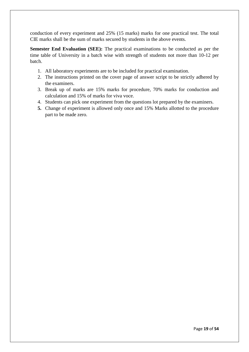conduction of every experiment and 25% (15 marks) marks for one practical test. The total CIE marks shall be the sum of marks secured by students in the above events.

**Semester End Evaluation (SEE):** The practical examinations to be conducted as per the time table of University in a batch wise with strength of students not more than 10-12 per batch.

- 1. All laboratory experiments are to be included for practical examination.
- 2. The instructions printed on the cover page of answer script to be strictly adhered by the examiners.
- 3. Break up of marks are 15% marks for procedure, 70% marks for conduction and calculation and 15% of marks for viva voce.
- 4. Students can pick one experiment from the questions lot prepared by the examiners.
- **5.** Change of experiment is allowed only once and 15% Marks allotted to the procedure part to be made zero.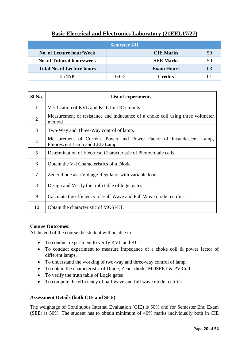### **Basic Electrical and Electronics Laboratory (21EEL17/27)**

|                                   | <b>Semester I/II</b> |                   |    |
|-----------------------------------|----------------------|-------------------|----|
| No. of Lecture hour/Week          |                      | <b>CIE Marks</b>  | 50 |
| <b>No. of Tutorial hours/week</b> |                      | <b>SEE Marks</b>  | 50 |
| <b>Total No. of Lecture hours</b> |                      | <b>Exam Hours</b> | 03 |
| L: T:P                            | 0:0:2                | <b>Credits</b>    |    |

| Sl No.         | List of experiments                                                                                    |
|----------------|--------------------------------------------------------------------------------------------------------|
| $\mathbf{1}$   | Verification of KVL and KCL for DC circuits                                                            |
| $\overline{2}$ | Measurement of resistance and inductance of a choke coil using three voltmeter<br>method               |
| 3              | Two-Way and Three-Way control of lamp.                                                                 |
| $\overline{4}$ | Measurement of Current, Power and Power Factor of Incandescent Lamp,<br>Fluorescent Lamp and LED Lamp. |
| 5              | Determination of Electrical Characteristic of Photovoltaic cells.                                      |
| 6              | Obtain the V-I Characteristics of a Diode.                                                             |
| 7              | Zener diode as a Voltage Regulator with variable load.                                                 |
| 8              | Design and Verify the truth table of logic gates                                                       |
| 9              | Calculate the efficiency of Half Wave and Full Wave diode rectifier.                                   |
| 10             | Obtain the characteristic of MOSFET.                                                                   |

#### **Course Outcomes:**

At the end of the course the student will be able to:

- To conduct experiment to verify KVL and KCL.
- To conduct experiment to measure impedance of a choke coil & power factor of different lamps.
- To understand the working of two-way and three-way control of lamp.
- To obtain the characteristic of Diode, Zener diode, MOSFET & PV Cell.
- To verify the truth table of Logic gates
- To compute the efficiency of half wave and full wave diode rectifier

#### **Assessment Details (both CIE and SEE)**

The weightage of Continuous Internal Evaluation (CIE) is 50% and for Semester End Exam (SEE) is 50%. The student has to obtain minimum of 40% marks individually both in CIE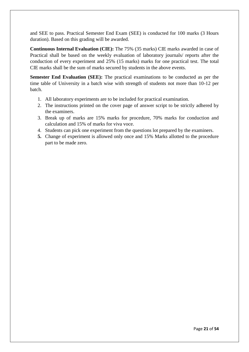and SEE to pass. Practical Semester End Exam (SEE) is conducted for 100 marks (3 Hours duration). Based on this grading will be awarded.

**Continuous Internal Evaluation (CIE):** The 75% (35 marks) CIE marks awarded in case of Practical shall be based on the weekly evaluation of laboratory journals/ reports after the conduction of every experiment and 25% (15 marks) marks for one practical test. The total CIE marks shall be the sum of marks secured by students in the above events.

**Semester End Evaluation (SEE):** The practical examinations to be conducted as per the time table of University in a batch wise with strength of students not more than 10-12 per batch.

- 1. All laboratory experiments are to be included for practical examination.
- 2. The instructions printed on the cover page of answer script to be strictly adhered by the examiners.
- 3. Break up of marks are 15% marks for procedure, 70% marks for conduction and calculation and 15% of marks for viva voce.
- 4. Students can pick one experiment from the questions lot prepared by the examiners.
- **5.** Change of experiment is allowed only once and 15% Marks allotted to the procedure part to be made zero.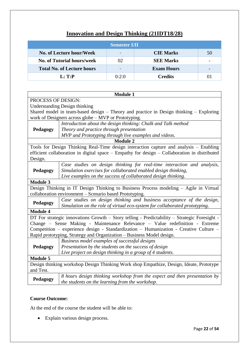### **Innovation and Design Thinking (21IDT18/28)**

|                                   | <b>Semester I/II</b> |                   |    |
|-----------------------------------|----------------------|-------------------|----|
| No. of Lecture hour/Week          |                      | <b>CIE Marks</b>  | 50 |
| <b>No. of Tutorial hours/week</b> | 02                   | <b>SEE Marks</b>  |    |
| <b>Total No. of Lecture hours</b> |                      | <b>Exam Hours</b> |    |
| L: T: P                           | 0:2:0                | <b>Credits</b>    |    |

|                           | <b>Module 1</b>                                                                              |  |  |  |
|---------------------------|----------------------------------------------------------------------------------------------|--|--|--|
| <b>PROCESS OF DESIGN:</b> |                                                                                              |  |  |  |
|                           | <b>Understanding Design thinking</b>                                                         |  |  |  |
|                           | Shared model in team-based design - Theory and practice in Design thinking - Exploring       |  |  |  |
|                           | work of Designers across globe – MVP or Prototyping.                                         |  |  |  |
|                           | Introduction about the design thinking: Chalk and Talk method                                |  |  |  |
| Pedagogy                  | Theory and practice through presentation                                                     |  |  |  |
|                           | MVP and Prototyping through live examples and videos.                                        |  |  |  |
|                           | <b>Module 2</b>                                                                              |  |  |  |
|                           | Tools for Design Thinking Real-Time design interaction capture and analysis – Enabling       |  |  |  |
|                           | efficient collaboration in digital space – Empathy for design – Collaboration in distributed |  |  |  |
| Design.                   |                                                                                              |  |  |  |
|                           | Case studies on design thinking for real-time interaction and analysis,                      |  |  |  |
| Pedagogy                  | Simulation exercises for collaborated enabled design thinking,                               |  |  |  |
|                           | Live examples on the success of collaborated design thinking.                                |  |  |  |
| <b>Module 3</b>           |                                                                                              |  |  |  |
|                           | Design Thinking in IT Design Thinking to Business Process modeling - Agile in Virtual        |  |  |  |
|                           | collaboration environment – Scenario based Prototyping.                                      |  |  |  |
|                           | Case studies on design thinking and business acceptance of the design,                       |  |  |  |
| Pedagogy                  | Simulation on the role of virtual eco-system for collaborated prototyping.                   |  |  |  |
| <b>Module 4</b>           |                                                                                              |  |  |  |
|                           | DT For strategic innovations Growth - Story telling - Predictability - Strategic Foresight - |  |  |  |
|                           | Change – Sense Making - Maintenance Relevance – Value redefinition - Extreme                 |  |  |  |
|                           | Competition – experience design - Standardization – Humanization - Creative Culture –        |  |  |  |
|                           | Rapid prototyping, Strategy and Organization - Business Model design.                        |  |  |  |
|                           | Business model examples of successful designs                                                |  |  |  |
| Pedagogy                  | Presentation by the students on the success of design                                        |  |  |  |
|                           | Live project on design thinking in a group of 4 students.                                    |  |  |  |
| <b>Module 5</b>           |                                                                                              |  |  |  |
|                           | Design thinking workshop Design Thinking Work shop Empathize, Design, Ideate, Prototype      |  |  |  |
| and Test.                 |                                                                                              |  |  |  |
|                           | 8 hours design thinking workshop from the expect and then presentation by                    |  |  |  |
| Pedagogy                  | the students on the learning from the workshop.                                              |  |  |  |

#### **Course Outcome:**

At the end of the course the student will be able to:

• Explain various design process.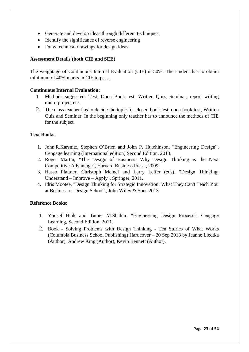- Generate and develop ideas through different techniques.
- Identify the significance of reverse engineering
- Draw technical drawings for design ideas.

#### **Assessment Details (both CIE and SEE)**

The weightage of Continuous Internal Evaluation (CIE) is 50%. The student has to obtain minimum of 40% marks in CIE to pass.

#### **Continuous Internal Evaluation:**

- 1. Methods suggested: Test, Open Book test, Written Quiz, Seminar, report writing micro project etc.
- 2. The class teacher has to decide the topic for closed book test, open book test, Written Quiz and Seminar. In the beginning only teacher has to announce the methods of CIE for the subject.

#### **Text Books:**

- 1. John.R.Karsnitz, Stephen O'Brien and John P. Hutchinson, "Engineering Design", Cengage learning (International edition) Second Edition, 2013.
- 2. Roger Martin, "The Design of Business: Why Design Thinking is the Next Competitive Advantage", Harvard Business Press , 2009.
- 3. Hasso Plattner, Christoph Meinel and Larry Leifer (eds), "Design Thinking: Understand – Improve – Apply", Springer, 2011.
- 4. Idris Mootee, "Design Thinking for Strategic Innovation: What They Can't Teach You at Business or Design School", John Wiley & Sons 2013.

#### **Reference Books:**

- 1. Yousef Haik and Tamer M.Shahin, "Engineering Design Process", Cengage Learning, Second Edition, 2011.
- 2. Book Solving Problems with Design Thinking Ten Stories of What Works (Columbia Business School Publishing) Hardcover – 20 Sep 2013 by Jeanne Liedtka (Author), Andrew King (Author), Kevin Bennett (Author).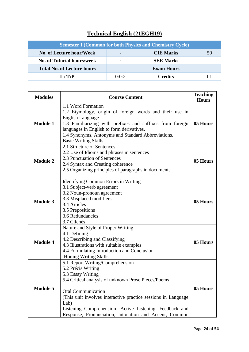# **Technical English (21EGH19)**

|                                   |       | <b>Semester I (Common for both Physics and Chemistry Cycle)</b> |    |
|-----------------------------------|-------|-----------------------------------------------------------------|----|
| No. of Lecture hour/Week          |       | <b>CIE Marks</b>                                                | 50 |
| <b>No. of Tutorial hours/week</b> |       | <b>SEE Marks</b>                                                |    |
| <b>Total No. of Lecture hours</b> |       | <b>Exam Hours</b>                                               |    |
| L: T: P                           | 0:0:2 | <b>Credits</b>                                                  | 01 |

| <b>Modules</b>  | <b>Course Content</b>                                                                                                                                                                                                                                                                                                                                          | <b>Teaching</b><br><b>Hours</b> |
|-----------------|----------------------------------------------------------------------------------------------------------------------------------------------------------------------------------------------------------------------------------------------------------------------------------------------------------------------------------------------------------------|---------------------------------|
| <b>Module 1</b> | 1.1 Word Formation<br>1.2 Etymology, origin of foreign words and their use in<br><b>English Language</b><br>1.3 Familiarizing with prefixes and suffixes from foreign<br>languages in English to form derivatives.<br>1.4 Synonyms, Antonyms and Standard Abbreviations.<br><b>Basic Writing Skills</b>                                                        | 05 Hours                        |
| <b>Module 2</b> | 2.1 Structure of Sentences<br>2.2 Use of Idioms and phrases in sentences<br>2.3 Punctuation of Sentences<br>2.4 Syntax and Creating coherence<br>2.5 Organizing principles of paragraphs in documents                                                                                                                                                          | 05 Hours                        |
| <b>Module 3</b> | Identifying Common Errors in Writing<br>3.1 Subject-verb agreement<br>3.2 Noun-pronoun agreement<br>3.3 Misplaced modifiers<br>3.4 Articles<br>3.5 Prepositions<br>3.6 Redundancies<br>3.7 Clichés                                                                                                                                                             | 05 Hours                        |
| <b>Module 4</b> | Nature and Style of Proper Writing<br>4.1 Defining<br>4.2 Describing and Classifying<br>4.3 Illustrations with suitable examples<br>4.4 Formulating Introduction and Conclusion<br><b>Honing Writing Skills</b>                                                                                                                                                | 05 Hours                        |
| <b>Module 5</b> | 5.1 Report Writing/Comprehension<br>5.2 Précis Writing<br>5.3 Essay Writing<br>5.4 Critical analysis of unknown Prose Pieces/Poems<br><b>Oral Communication</b><br>(This unit involves interactive practice sessions in Language)<br>Lab)<br>Listening Comprehension- Active Listening, Feedback and<br>Response, Pronunciation, Intonation and Accent, Common | 05 Hours                        |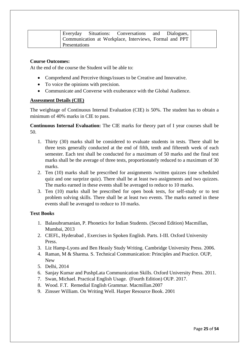|               | Everyday Situations: Conversations and Dialogues,      |  |  |
|---------------|--------------------------------------------------------|--|--|
|               | Communication at Workplace, Interviews, Formal and PPT |  |  |
| Presentations |                                                        |  |  |

#### **Course Outcomes:**

At the end of the course the Student will be able to:

- Comprehend and Perceive things/issues to be Creative and Innovative.
- To voice the opinions with precision.
- Communicate and Converse with exuberance with the Global Audience.

#### **Assessment Details (CIE)**

The weightage of Continuous Internal Evaluation (CIE) is 50%. The student has to obtain a minimum of 40% marks in CIE to pass.

**Continuous Internal Evaluation:** The CIE marks for theory part of I year courses shall be 50.

- 1. Thirty (30) marks shall be considered to evaluate students in tests. There shall be three tests generally conducted at the end of fifth, tenth and fifteenth week of each semester. Each test shall be conducted for a maximum of 50 marks and the final test marks shall be the average of three tests, proportionately reduced to a maximum of 30 marks.
- 2. Ten (10) marks shall be prescribed for assignments /written quizzes (one scheduled quiz and one surprize quiz). There shall be at least two assignments and two quizzes. The marks earned in these events shall be averaged to reduce to 10 marks.
- 3. Ten (10) marks shall be prescribed for open book tests, for self-study or to test problem solving skills. There shall be at least two events. The marks earned in these events shall be averaged to reduce to 10 marks.

#### **Text Books**

- 1. Balasubramanian, P. Phonetics for Indian Students. (Second Edition) Macmillan, Mumbai, 2013
- 2. CIEFL, Hyderabad , Exercises in Spoken English. Parts. I-III. Oxford University Press.
- 3. Liz Hamp-Lyons and Ben Heasly Study Writing. Cambridge University Press. 2006.
- 4. Raman, M & Sharma. S. Technical Communication: Principles and Practice. OUP, New
- 5. Delhi, 2014
- 6. Sanjay Kumar and PushpLata Communication Skills. Oxford University Press. 2011.
- 7. Swan, Michael. Practical English Usage. (Fourth Edition) OUP. 2017.
- 8. Wood. F.T. Remedial English Grammar. Macmillan.2007
- 9. Zinsser William. On Writing Well. Harper Resource Book. 2001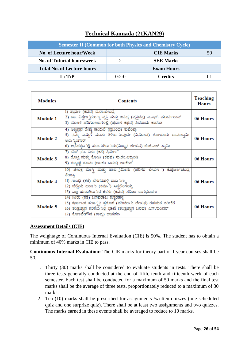### **Technical Kannada (21KAN29)**

|                                   |       | <b>Semester II (Common for both Physics and Chemistry Cycle)</b> |    |
|-----------------------------------|-------|------------------------------------------------------------------|----|
| No. of Lecture hour/Week          |       | <b>CIE Marks</b>                                                 | 50 |
| <b>No. of Tutorial hours/week</b> |       | <b>SEE Marks</b>                                                 |    |
| <b>Total No. of Lecture hours</b> |       | <b>Exam Hours</b>                                                |    |
| L: T: P                           | 0:2:0 | <b>Credits</b>                                                   |    |

| <b>Modules</b>  | Contents                                                                                                                                                                                                                     | Teaching<br><b>Hours</b> |
|-----------------|------------------------------------------------------------------------------------------------------------------------------------------------------------------------------------------------------------------------------|--------------------------|
| Module 1        | 1) ಶ್ರಾವಣ (ಕವನ) ದ.ರಾ.ಬೇಂದ್ರೆ<br>2) ಡಾ. ವಿಶ್ವೇಶ್ವರರು ್ಯ ವ್ಯಕ್ತಿ ಮತ್ತು ಐತಿಹ್ಯ (ವ್ಯಕ್ತಿಚಿತ್ರ) ಎ.ಎನ್. ಮೂರ್ತಿರಾವ್<br>3) ದೋಣಿ ಹರಿಗೋಲುಗಳಲ್ಲಿ (ಪ್ರವಾಸ ಕಥನ) ಶಿವರಾಮ ಕಾರಂತ                                                              | 06 Hours                 |
| <b>Module 2</b> | 4) ಅಣ್ಣಪ್ಪನ ರೇಷ್ಕೆ ಕಾಯಿಲೆ (ಪ್ರಬಂಧ) ಕುವೆಂಪು<br>5) ನಮ್ಮ ಎಮ್ಮೆಗೆ ಮಾತು ತಿಳಿಯ 'ಬವುದೇ (ವಿನೋದ) ಗೋರೂರು ರಾಮಸ್ವಾಮಿ<br>ಅಯ ಕ್ರಿಂಗಾರ್<br>6) ಆನೆಹಳ್ಳದ 'ಲ್ಲಿ ಹುಡ 'ುಗಿಯ 'ುರು(ವಿಜ್ಞಾನ ಲೇಖನ) ಬಿ.ಜಿ.ಎಲ್ ಸ್ವಾಮಿ                                  | 06 Hours                 |
| Module 3        | 7) ಬೆಡ್ ನಂ. ಏಳು (ಕತೆ) ತ್ರಿವೇಣ ಿ<br>8) ರೊಟ್ಟಿ ಮತ್ತು ಕೋವಿ (ಕವನ) ಸು.ರಂ.ಎಕ್ಕುಂಡಿ<br>9) ಗುಬ್ಬಚ್ಚಿ ಗೂಡು (ಅಂಕಂ ಬರಹ) ಲಂಕೇಶ್                                                                                                          | 06 Hours                 |
| <b>Module 4</b> | 10) ಚೀಂಕ್ರ ಮೇಸ್ತಿ ಮತ್ತು ಹಾವ jಮೀನು (ಪರಿಸರ ಲೇಖನ ') ಕೆ.ಪೂರ್ಣಚಂದ್ರ<br>ತೇಜಸ್ತಿ<br>II) ಗಾಂಧಿ (ಕತೆ) ಬೆಸಗರಹಳ್ಳಿ ರಾವ <i>ುಣ</i> ್ಣ<br>12) ಬೆಲ್ಟಿಯ ಹಾಡ <i>`</i> ು (ಕವನ ') ಸಿದ್ದಲಿಂಗಯ್ತ<br>13) ಎಲ್ಲ ಹುಡುಗಿಯ 'ುರ ಕನಸು (ಕವನ) ಸವಿತಾ ನಾಗಭೂಷಣ | 06 Hours                 |
| <b>Module 5</b> | 14) ನೀರು (ಕತೆ) ಬಸವರಾಜ ಕುಕ್ತರಹಳ್ಳಿ<br>15) ಕರ್ನಾಟಕ ಸಂಸ್ಕೃತಿ ಸ್ವರೂಪ (ಪರಿಚಯ ೨ ಲೇಖನ) ರಹಮತ ತರೀಕೆರೆ<br>16) ತಂತ್ರಜ್ಞಾನ ಕಲಿಕೆಯ ಾಲ್ಲಿ ಭಾಷೆ (ತಂತ್ರಜ್ಞಾನ ಬರಹ) ಎಸ್.ಸುಂದರ್<br>17) ಕೊಣವೇಗೌಡ (ಕಾವ್ನ) ಜಾನಪದ                                   | 06 Hours                 |

#### **Assessment Details (CIE)**

The weightage of Continuous Internal Evaluation (CIE) is 50%. The student has to obtain a minimum of 40% marks in CIE to pass.

**Continuous Internal Evaluation:** The CIE marks for theory part of I year courses shall be 50.

- 1. Thirty (30) marks shall be considered to evaluate students in tests. There shall be three tests generally conducted at the end of fifth, tenth and fifteenth week of each semester. Each test shall be conducted for a maximum of 50 marks and the final test marks shall be the average of three tests, proportionately reduced to a maximum of 30 marks.
- 2. Ten (10) marks shall be prescribed for assignments /written quizzes (one scheduled quiz and one surprize quiz). There shall be at least two assignments and two quizzes. The marks earned in these events shall be averaged to reduce to 10 marks.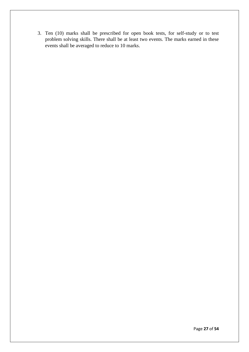3. Ten (10) marks shall be prescribed for open book tests, for self-study or to test problem solving skills. There shall be at least two events. The marks earned in these events shall be averaged to reduce to 10 marks.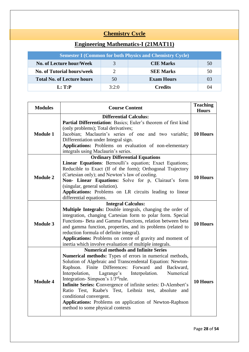# **Chemistry Cycle**

| <b>Engineering Mathematics-I (21MAT11)</b> |
|--------------------------------------------|
|--------------------------------------------|

|                                    |       | <b>Semester I (Common for both Physics and Chemistry Cycle)</b> |    |
|------------------------------------|-------|-----------------------------------------------------------------|----|
| No. of Lecture hour/Week           |       | <b>CIE Marks</b>                                                | 50 |
| <b>No. of Tutorial hours/week</b>  |       | <b>SEE Marks</b>                                                | 50 |
| <b>Total No. of Lecture hours</b>  | 50    | <b>Exam Hours</b>                                               | 03 |
| $\mathbf{L}:\mathbf{T}:\mathbf{P}$ | 3:2:0 | <b>Credits</b>                                                  | 04 |

| <b>Modules</b>  | <b>Course Content</b>                                          | <b>Teaching</b><br><b>Hours</b> |  |  |
|-----------------|----------------------------------------------------------------|---------------------------------|--|--|
|                 | <b>Differential Calculus:</b>                                  |                                 |  |  |
|                 | Partial Differentiation: Basics; Euler's theorem of first kind |                                 |  |  |
|                 | (only problems); Total derivatives;                            |                                 |  |  |
| <b>Module 1</b> | Jacobian; Maclaurin's series of one and two variable;          | 10 Hours                        |  |  |
|                 | Differentiation under Integral sign.                           |                                 |  |  |
|                 | Applications: Problems on evaluation of non-elementary         |                                 |  |  |
|                 | integrals using Maclaurin's series.                            |                                 |  |  |
|                 | <b>Ordinary Differential Equations</b>                         |                                 |  |  |
|                 | Linear Equations: Bernoulli's equation; Exact Equations;       |                                 |  |  |
|                 | Reducible to Exact (If of the form); Orthogonal Trajectory     |                                 |  |  |
| <b>Module 2</b> | (Cartesian only); and Newton's law of cooling.                 | <b>10 Hours</b>                 |  |  |
|                 | Non- Linear Equations: Solve for p, Clairaut's form            |                                 |  |  |
|                 | (singular, general solution).                                  |                                 |  |  |
|                 | Applications: Problems on LR circuits leading to linear        |                                 |  |  |
|                 | differential equations.                                        |                                 |  |  |
|                 | <b>Integral Calculus:</b>                                      |                                 |  |  |
|                 | Multiple Integrals: Double integrals, changing the order of    |                                 |  |  |
|                 | integration, changing Cartesian form to polar form. Special    |                                 |  |  |
| <b>Module 3</b> | Functions- Beta and Gamma Functions, relation between beta     | 10 Hours                        |  |  |
|                 | and gamma function, properties, and its problems (related to   |                                 |  |  |
|                 | reduction formula of definite integral).                       |                                 |  |  |
|                 | Applications: Problems on centre of gravity and moment of      |                                 |  |  |
|                 | inertia which involve evaluation of multiple integrals.        |                                 |  |  |
|                 | <b>Numerical methods and Infinite Series</b>                   |                                 |  |  |
|                 | Numerical methods: Types of errors in numerical methods,       |                                 |  |  |
|                 | Solution of Algebraic and Transcendental Equation: Newton-     |                                 |  |  |
|                 | Raphson. Finite<br>Differences:<br>Forward and<br>Backward,    |                                 |  |  |
| <b>Module 4</b> | Interpolation,<br>Lagrange's<br>Interpolation.<br>Numerical    |                                 |  |  |
|                 | Integration-Simpson's 1/3rdrule.                               | 10 Hours                        |  |  |
|                 | Infinite Series: Convergence of infinite series: D-Alembert's  |                                 |  |  |
|                 | Ratio Test, Raabe's Test, Leibniz test, absolute<br>and        |                                 |  |  |
|                 | conditional convergent.                                        |                                 |  |  |
|                 | Applications: Problems on application of Newton-Raphson        |                                 |  |  |
|                 | method to some physical contexts                               |                                 |  |  |
|                 |                                                                |                                 |  |  |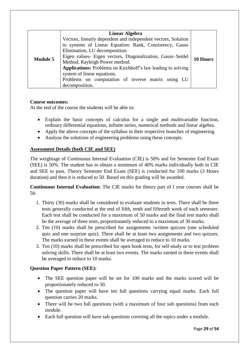|                 | <b>Linear Algebra</b>                                                                                                                                      |  |
|-----------------|------------------------------------------------------------------------------------------------------------------------------------------------------------|--|
|                 | Vectors, linearly dependent and independent vectors, Solution<br>to systems of Linear Equation: Rank, Consistency, Gauss<br>Elimination, LU decomposition. |  |
| <b>Module 5</b> | Eigen values- Eigen vectors, Diagonalization, Gauss-Seidel<br>10 Hours<br>Method, Rayleigh Power method.                                                   |  |
|                 | <b>Applications:</b> Problems on Kirchhoff's law leading to solving<br>system of linear equations.                                                         |  |
|                 | Problems on computation of inverse matrix using LU<br>decomposition.                                                                                       |  |

#### **Course outcomes:**

At the end of the course the students will be able to:

- Explain the basic concepts of calculus for a single and multivariable function, ordinary differential equations, infinite series, numerical methods and linear algebra.
- Apply the above concepts of the syllabus in their respective branches of engineering.
- Analyze the solutions of engineering problems using these concepts.

#### **Assessment Details (both CIE and SEE)**

The weightage of Continuous Internal Evaluation (CIE) is 50% and for Semester End Exam (SEE) is 50%. The student has to obtain a minimum of 40% marks individually both in CIE and SEE to pass. Theory Semester End Exam (SEE) is conducted for 100 marks (3 Hours duration) and then it is reduced to 50. Based on this grading will be awarded.

**Continuous Internal Evaluation:** The CIE marks for theory part of I year courses shall be 50.

- 1. Thirty (30) marks shall be considered to evaluate students in tests. There shall be three tests generally conducted at the end of fifth, tenth and fifteenth week of each semester. Each test shall be conducted for a maximum of 50 marks and the final test marks shall be the average of three tests, proportionately reduced to a maximum of 30 marks.
- 2. Ten (10) marks shall be prescribed for assignments /written quizzes (one scheduled quiz and one surprize quiz). There shall be at least two assignments and two quizzes. The marks earned in these events shall be averaged to reduce to 10 marks.
- 3. Ten (10) marks shall be prescribed for open book tests, for self-study or to test problem solving skills. There shall be at least two events. The marks earned in these events shall be averaged to reduce to 10 marks.

#### **Question Paper Pattern (SEE):**

- The SEE question paper will be set for 100 marks and the marks scored will be proportionately reduced to 50.
- The question paper will have ten full questions carrying equal marks. Each full question carries 20 marks.
- There will be two full questions (with a maximum of four sub questions) from each module.
- Each full question will have sub questions covering all the topics under a module.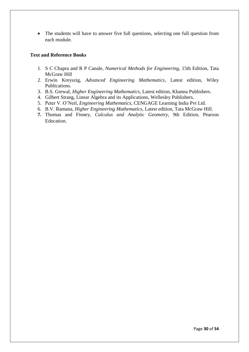• The students will have to answer five full questions, selecting one full question from each module.

#### **Text and Reference Books**

- 1. S C Chapra and R P Canale, *Numerical Methods for Engineering,* 15th Edition, Tata McGraw Hill
- 2. Erwin Kreyszig, *Advanced Engineering Mathematics*, Latest edition, Wiley Publications.
- 3. B.S. Grewal, *Higher Engineering Mathematics*, Latest edition, Khanna Publishers.
- 4. Gilbert Strang, Linear Algebra and its Applications, Wellesley Publishers.
- 5. Peter V. O'Neil, *Engineering Mathematics*, CENGAGE Learning India Pvt Ltd.
- 6. B.V. Ramana, *Higher Engineering Mathematics*, Latest edition, Tata McGraw Hill.
- **7.** Thomas and Finney, *Calculus and Analytic Geometry,* 9th Edition, Pearson Education.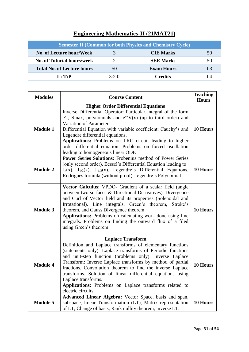| <b>Engineering Mathematics-II (21MAT21)</b> |
|---------------------------------------------|
|---------------------------------------------|

| <b>Semester II (Common for both Physics and Chemistry Cycle)</b> |       |                   |    |  |
|------------------------------------------------------------------|-------|-------------------|----|--|
| No. of Lecture hour/Week                                         |       | <b>CIE Marks</b>  | 50 |  |
| <b>No. of Tutorial hours/week</b>                                |       | <b>SEE Marks</b>  | 50 |  |
| <b>Total No. of Lecture hours</b>                                | 50    | <b>Exam Hours</b> | 03 |  |
| L: T:P                                                           | 3:2:0 | <b>Credits</b>    | 04 |  |

| <b>Modules</b>  | <b>Course Content</b>                                                                                                                                                                                                                                                                                                                                                                                                                                                                                              | <b>Teaching</b><br><b>Hours</b> |
|-----------------|--------------------------------------------------------------------------------------------------------------------------------------------------------------------------------------------------------------------------------------------------------------------------------------------------------------------------------------------------------------------------------------------------------------------------------------------------------------------------------------------------------------------|---------------------------------|
| <b>Module 1</b> | <b>Higher Order Differential Equations</b><br>Inverse Differential Operator: Particular integral of the form<br>$e^{ax}$ , Sinax, polynomials and $e^{ax}V(x)$ (up to third order) and<br>Variation of Parameters.<br>Differential Equation with variable coefficient: Cauchy's and<br>Legendre differential equations.<br>Applications: Problems on LRC circuit leading to higher<br>order differential equation. Problems on forced oscillation<br>leading to homogeneous linear ODE                             | 10 Hours                        |
| <b>Module 2</b> | Power Series Solutions: Frobenius method of Power Series<br>(only second order), Bessel's Differential Equation leading to<br>$J_n(x)$ , $J_{1/2}(x)$ , $J_{-1/2}(x)$ , Legendre's Differential Equations,<br>Rodrigues formula (without proof)-Legendre's Polynomial.                                                                                                                                                                                                                                             | 10 Hours                        |
| <b>Module 3</b> | Vector Calculus: VPDO- Gradient of a scalar field (angle<br>between two surfaces & Directional Derivatives), Divergence<br>and Curl of Vector field and its properties (Solenoidal and<br>Irrotational). Line integrals, Green's theorem, Stroke's<br>theorem, and Gauss Divergence theorem.<br>Applications: Problems on calculating work done using line<br>integrals. Problems on finding the outward flux of a filed<br>using Green's theorem                                                                  | 10 Hours                        |
| <b>Module 4</b> | <b>Laplace Transform</b><br>Definition and Laplace transforms of elementary functions<br>(statements only). Laplace transforms of Periodic functions<br>and unit-step function (problems only). Inverse Laplace<br>Transform: Inverse Laplace transforms by method of partial<br>fractions, Convolution theorem to find the inverse Laplace<br>transforms. Solution of linear differential equations using<br>Laplace transforms.<br>Applications: Problems on Laplace transforms related to<br>electric circuits. | 10 Hours                        |
| <b>Module 5</b> | Advanced Linear Algebra: Vector Space, basis and span,<br>subspace, linear Transformation (LT), Matrix representation<br>of LT, Change of basis, Rank nullity theorem, inverse LT.                                                                                                                                                                                                                                                                                                                                 | 10 Hours                        |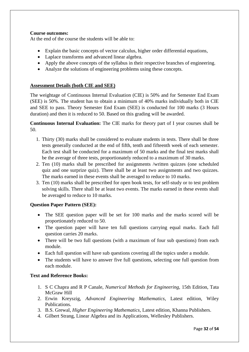#### **Course outcomes:**

At the end of the course the students will be able to:

- Explain the basic concepts of vector calculus, higher order differential equations,
- Laplace transforms and advanced linear algebra.
- Apply the above concepts of the syllabus in their respective branches of engineering.
- Analyze the solutions of engineering problems using these concepts.

#### **Assessment Details (both CIE and SEE)**

The weightage of Continuous Internal Evaluation (CIE) is 50% and for Semester End Exam (SEE) is 50%. The student has to obtain a minimum of 40% marks individually both in CIE and SEE to pass. Theory Semester End Exam (SEE) is conducted for 100 marks (3 Hours duration) and then it is reduced to 50. Based on this grading will be awarded.

**Continuous Internal Evaluation:** The CIE marks for theory part of I year courses shall be 50.

- 1. Thirty (30) marks shall be considered to evaluate students in tests. There shall be three tests generally conducted at the end of fifth, tenth and fifteenth week of each semester. Each test shall be conducted for a maximum of 50 marks and the final test marks shall be the average of three tests, proportionately reduced to a maximum of 30 marks.
- 2. Ten (10) marks shall be prescribed for assignments /written quizzes (one scheduled quiz and one surprize quiz). There shall be at least two assignments and two quizzes. The marks earned in these events shall be averaged to reduce to 10 marks.
- 3. Ten (10) marks shall be prescribed for open book tests, for self-study or to test problem solving skills. There shall be at least two events. The marks earned in these events shall be averaged to reduce to 10 marks.

#### **Question Paper Pattern (SEE):**

- The SEE question paper will be set for 100 marks and the marks scored will be proportionately reduced to 50.
- The question paper will have ten full questions carrying equal marks. Each full question carries 20 marks.
- There will be two full questions (with a maximum of four sub questions) from each module.
- Each full question will have sub questions covering all the topics under a module.
- The students will have to answer five full questions, selecting one full question from each module.

#### **Text and Reference Books:**

- 1. S C Chapra and R P Canale, *Numerical Methods for Engineering,* 15th Edition, Tata McGraw Hill
- 2. Erwin Kreyszig, *Advanced Engineering Mathematics*, Latest edition, Wiley Publications.
- 3. B.S. Grewal, *Higher Engineering Mathematics*, Latest edition, Khanna Publishers.
- 4. Gilbert Strang, Linear Algebra and its Applications, Wellesley Publishers.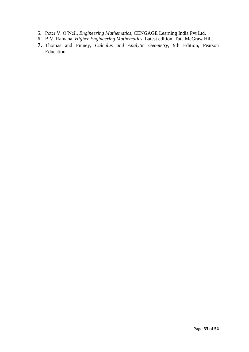- 5. Peter V. O'Neil, *Engineering Mathematics*, CENGAGE Learning India Pvt Ltd.
- 6. B.V. Ramana, *Higher Engineering Mathematics*, Latest edition, Tata McGraw Hill.
- **7.** Thomas and Finney, *Calculus and Analytic Geometry,* 9th Edition, Pearson Education.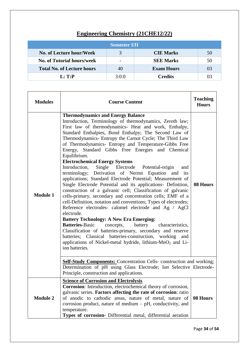# **Engineering Chemistry (21CHE12/22)**

| <b>Semester I/II</b>              |               |                   |    |
|-----------------------------------|---------------|-------------------|----|
| No. of Lecture hour/Week          | $\mathcal{R}$ | <b>CIE Marks</b>  | 50 |
| No. of Tutorial hours/week        |               | <b>SEE Marks</b>  | 50 |
| <b>Total No. of Lecture hours</b> | 40            | <b>Exam Hours</b> | 03 |
| L: T: P                           | 3:0:0         | <b>Credits</b>    | 03 |

| <b>Modules</b>  | <b>Course Content</b>                                                                                                                                                                                                                                                                                                                                                                                                                                                                                                                                                                                                                                                                                                                                                                                                                                                                                                                                                                                                                                                                                                                                                                                                                                                                                                          |          |  |
|-----------------|--------------------------------------------------------------------------------------------------------------------------------------------------------------------------------------------------------------------------------------------------------------------------------------------------------------------------------------------------------------------------------------------------------------------------------------------------------------------------------------------------------------------------------------------------------------------------------------------------------------------------------------------------------------------------------------------------------------------------------------------------------------------------------------------------------------------------------------------------------------------------------------------------------------------------------------------------------------------------------------------------------------------------------------------------------------------------------------------------------------------------------------------------------------------------------------------------------------------------------------------------------------------------------------------------------------------------------|----------|--|
| <b>Module 1</b> | <b>Thermodynamics and Energy Balance</b><br>Introduction, Terminology of thermodynamics, Zeroth law;<br>First law of thermodynamics- Heat and work, Enthalpy,<br>Standard Enthalpies, Bond Enthalpy; The Second Law of<br>Thermodynamics- Entropy the Carnot Cycle; The Third Law<br>of Thermodynamics- Entropy and Temperature-Gibbs Free<br>Energy, Standard Gibbs Free Energies and Chemical<br>Equilibrium.<br><b>Electrochemical Energy Systems</b><br>Introduction,<br>Single Electrode Potential-origin<br>and<br>terminology; Derivation of Nernst Equation and its<br>applications; Standard Electrode Potential; Measurement of<br>Single Electrode Potential and its applications- Definition,<br>construction of a galvanic cell; Classification of galvanic<br>cells-primary, secondary and concentration cells; EMF of a<br>cell-Definition, notation and conventions; Types of electrodes;<br>Reference electrodes- calomel electrode and Ag / AgCl<br>electrode.<br><b>Battery Technology: A New Era Emerging:</b><br><b>Batteries-Basic</b><br>battery characteristics,<br>concepts,<br>Classification of batteries-primary, secondary and reserve<br>batteries; Classical batteries-construction, working<br>and<br>applications of Nickel-metal hydride, lithium-MnO <sub>2</sub> and Li-<br>ion batteries. | 08 Hours |  |
|                 | <b>Self-Study Components:</b> Concentration Cells-construction and working;<br>Determination of pH using Glass Electrode; Ion Selective Electrode-<br>Principle, construction and applications.                                                                                                                                                                                                                                                                                                                                                                                                                                                                                                                                                                                                                                                                                                                                                                                                                                                                                                                                                                                                                                                                                                                                |          |  |
| <b>Module 2</b> | <b>Science of Corrosion and Electrolysis</b><br><b>Corrosion:</b> Introduction, electrochemical theory of corrosion,<br>galvanic series. Factors affecting the rate of corrosion: ratio<br>of anodic to cathodic areas, nature of metal, nature of<br>corrosion product, nature of medium $- pH$ , conductivity, and<br>temperature.<br>Types of corrosion- Differential metal, differential aeration                                                                                                                                                                                                                                                                                                                                                                                                                                                                                                                                                                                                                                                                                                                                                                                                                                                                                                                          | 08 Hours |  |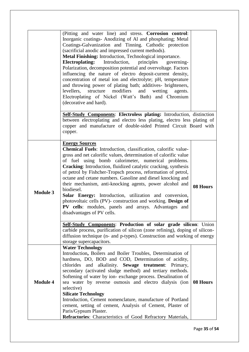|                 | (Pitting and water line) and stress. Corrosion control:<br>Inorganic coatings- Anodizing of Al and phosphating; Metal<br>Coatings-Galvanization and Tinning. Cathodic protection<br>(sacrificial anodic and impressed current methods).<br>Metal Finishing: Introduction, Technological importance.<br><b>Electroplating:</b><br>Introduction, principles<br>governing-<br>Polarization, decomposition potential and overvoltage. Factors<br>influencing the nature of electro deposit-current density,<br>concentration of metal ion and electrolyte; pH, temperature<br>and throwing power of plating bath; additives- brighteners,<br>structure modifiers<br>levellers,<br>and<br>wetting<br>agents.<br>Electroplating of Nickel (Watt's Bath) and Chromium<br>(decorative and hard).<br><b>Self-Study Components: Electroless plating:</b> Introduction, distinction |          |
|-----------------|--------------------------------------------------------------------------------------------------------------------------------------------------------------------------------------------------------------------------------------------------------------------------------------------------------------------------------------------------------------------------------------------------------------------------------------------------------------------------------------------------------------------------------------------------------------------------------------------------------------------------------------------------------------------------------------------------------------------------------------------------------------------------------------------------------------------------------------------------------------------------|----------|
|                 | between electroplating and electro less plating, electro less plating of<br>copper and manufacture of double-sided Printed Circuit Board with<br>copper.                                                                                                                                                                                                                                                                                                                                                                                                                                                                                                                                                                                                                                                                                                                 |          |
| <b>Module 3</b> | <b>Energy Sources</b><br><b>Chemical Fuels:</b> Introduction, classification, calorific value-<br>gross and net calorific values, determination of calorific value<br>of fuel using bomb calorimeter, numerical problems.<br>Cracking: Introduction, fluidized catalytic cracking, synthesis<br>of petrol by Fishcher-Tropsch process, reformation of petrol,<br>octane and cetane numbers. Gasoline and diesel knocking and<br>their mechanism, anti-knocking agents, power alcohol and<br>biodiesel.<br>Solar Energy: Introduction, utilization and conversion,<br>photovoltaic cells (PV)- construction and working. Design of<br>PV cells: modules, panels and arrays. Advantages and<br>disadvantages of PV cells.                                                                                                                                                  | 08 Hours |
|                 | Self-Study Components: Production of solar grade silicon: Union<br>carbide process, purification of silicon (zone refining), doping of silicon-<br>diffusion technique (n- and p-types). Construction and working of energy<br>storage supercapacitors.                                                                                                                                                                                                                                                                                                                                                                                                                                                                                                                                                                                                                  |          |
| <b>Module 4</b> | <b>Water Technology</b><br>Introduction, Boilers and Boiler Troubles, Determination of<br>hardness, DO, BOD and COD, Determination of acidity,<br>alkalinity. Sewage treatment: Primary,<br>chlorides and<br>secondary (activated sludge method) and tertiary methods.<br>Softening of water by ion-exchange process. Desalination of<br>sea water by reverse osmosis and electro dialysis (ion   08 Hours<br>selective)<br><b>Silicate Technology</b><br>Introduction, Cement nomenclature, manufacture of Portland<br>cement, setting of cement, Analysis of Cement, Plaster of<br>Paris/Gypsum Plaster.<br>Refractories: Characteristics of Good Refractory Materials,                                                                                                                                                                                                |          |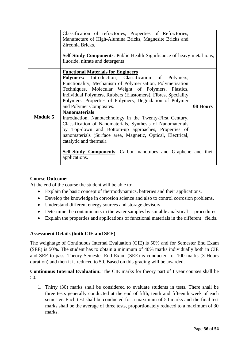|                 | Classification of refractories, Properties of Refractories,<br>Manufacture of High-Alumina Bricks, Magnesite Bricks and<br>Zirconia Bricks.<br><b>Self-Study Components:</b> Public Health Significance of heavy metal ions,<br>fluoride, nitrate and detergents                                                                                                                                                                                                                                                                                                                                                                                                                                                                                                                    |          |
|-----------------|-------------------------------------------------------------------------------------------------------------------------------------------------------------------------------------------------------------------------------------------------------------------------------------------------------------------------------------------------------------------------------------------------------------------------------------------------------------------------------------------------------------------------------------------------------------------------------------------------------------------------------------------------------------------------------------------------------------------------------------------------------------------------------------|----------|
| <b>Module 5</b> | <b>Functional Materials for Engineers</b><br><b>Polymers:</b> Introduction, Classification of Polymers,<br>Functionality, Mechanism of Polymerisation, Polymerisation<br>Techniques, Molecular Weight of Polymers. Plastics,<br>Individual Polymers, Rubbers (Elastomers), Fibres, Speciality<br>Polymers, Properties of Polymers, Degradation of Polymer<br>and Polymer Composites.<br><b>Nanomaterials</b><br>Introduction, Nanotechnology in the Twenty-First Century,<br>Classification of Nanomaterials, Synthesis of Nanomaterials<br>by Top-down and Bottom-up approaches, Properties of<br>nanomaterials (Surface area, Magnetic, Optical, Electrical,<br>catalytic and thermal).<br><b>Self-Study Components:</b> Carbon nanotubes and Graphene and their<br>applications. | 08 Hours |

#### **Course Outcome:**

At the end of the course the student will be able to:

- Explain the basic concept of thermodynamics, batteries and their applications.
- Develop the knowledge in corrosion science and also to control corrosion problems.
- Understand different energy sources and storage devisors
- Determine the contaminants in the water samples by suitable analytical procedures.
- Explain the properties and applications of functional materials in the different fields.

#### **Assessment Details (both CIE and SEE)**

The weightage of Continuous Internal Evaluation (CIE) is 50% and for Semester End Exam (SEE) is 50%. The student has to obtain a minimum of 40% marks individually both in CIE and SEE to pass. Theory Semester End Exam (SEE) is conducted for 100 marks (3 Hours duration) and then it is reduced to 50. Based on this grading will be awarded.

**Continuous Internal Evaluation:** The CIE marks for theory part of I year courses shall be 50.

1. Thirty (30) marks shall be considered to evaluate students in tests. There shall be three tests generally conducted at the end of fifth, tenth and fifteenth week of each semester. Each test shall be conducted for a maximum of 50 marks and the final test marks shall be the average of three tests, proportionately reduced to a maximum of 30 marks.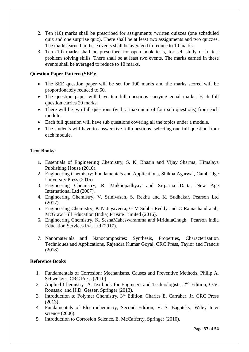- 2. Ten (10) marks shall be prescribed for assignments /written quizzes (one scheduled quiz and one surprize quiz). There shall be at least two assignments and two quizzes. The marks earned in these events shall be averaged to reduce to 10 marks.
- 3. Ten (10) marks shall be prescribed for open book tests, for self-study or to test problem solving skills. There shall be at least two events. The marks earned in these events shall be averaged to reduce to 10 marks.

#### **Question Paper Pattern (SEE):**

- The SEE question paper will be set for 100 marks and the marks scored will be proportionately reduced to 50.
- The question paper will have ten full questions carrying equal marks. Each full question carries 20 marks.
- There will be two full questions (with a maximum of four sub questions) from each module.
- Each full question will have sub questions covering all the topics under a module.
- The students will have to answer five full questions, selecting one full question from each module.

#### **Text Books:**

- **1.** Essentials of Engineering Chemistry, S. K. Bhasin and Vijay Sharma, Himalaya Publishing House (2010).
- 2. Engineering Chemistry: Fundamentals and Applications, Shikha Agarwal, Cambridge University Press (2015).
- 3. Engineering Chemistry, R. Mukhopadhyay and Sriparna Datta, New Age International Ltd (2007).
- 4. Engineering Chemistry, V. Srinivasan, S. Rekha and K. Sudhakar, Pearson Ltd (2017).
- 5. Engineering Chemistry, K N Jayaveera, G V Subba Reddy and C Ramachandraiah, McGraw Hill Education (India) Private Limited (2016).
- 6. Engineering Chemistry, K. SeshaMaheswaramma and MridulaChugh, Pearson India Education Services Pvt. Ltd (2017).
- 7. Nanomaterials and Nanocomposites: Synthesis, Properties, Characterization Techniques and Applications, Rajendra Kumar Goyal, CRC Press, Taylor and Francis (2018).

#### **Reference Books**

- 1. Fundamentals of Corrosion: Mechanisms, Causes and Preventive Methods, Philip A. Schweitzer, CRC Press (2010).
- 2. Applied Chemistry- A Textbook for Engineers and Technologists,  $2<sup>nd</sup>$  Edition, O.V. Roussak and H.D. Gesser, Springer (2013).
- 3. Introduction to Polymer Chemistry, 3rd Edition, Charles E. Carraher, Jr. CRC Press (2013).
- 4. Fundamentals of Electrochemistry, Second Edition, V. S. Bagotsky, Wiley Inter science (2006).
- 5. Introduction to Corrosion Science, E. McCafferty, Springer (2010).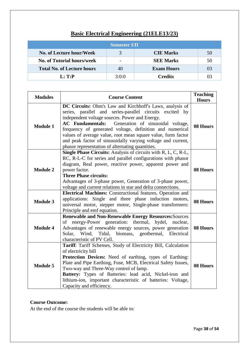| <b>Semester I/II</b>              |       |                   |    |  |
|-----------------------------------|-------|-------------------|----|--|
| No. of Lecture hour/Week          |       | <b>CIE Marks</b>  | 50 |  |
| <b>No. of Tutorial hours/week</b> |       | <b>SEE Marks</b>  | 50 |  |
| <b>Total No. of Lecture hours</b> | 40    | <b>Exam Hours</b> | 03 |  |
| L: T: P                           | 3:0:0 | Credits           | 03 |  |

| <b>Modules</b>  | <b>Course Content</b>                                                                                                                                                                                                                                                                                                                                                                                                                                                                  | <b>Teaching</b><br><b>Hours</b> |
|-----------------|----------------------------------------------------------------------------------------------------------------------------------------------------------------------------------------------------------------------------------------------------------------------------------------------------------------------------------------------------------------------------------------------------------------------------------------------------------------------------------------|---------------------------------|
| <b>Module 1</b> | DC Circuits: Ohm's Law and Kirchhoff's Laws, analysis of<br>series, parallel and series-parallel circuits excited by<br>independent voltage sources. Power and Energy.<br>Generation of sinusoidal voltage,<br><b>AC</b> Fundamentals:<br>frequency of generated voltage, definition and numerical<br>values of average value, root mean square value, form factor<br>and peak factor of sinusoidally varying voltage and current,<br>phasor representation of alternating quantities. | 08 Hours                        |
| <b>Module 2</b> | Single Phase Circuits: Analysis of circuits with R, L, C, R-L,<br>RC, R-L-C for series and parallel configurations with phasor<br>diagram, Real power, reactive power, apparent power and<br>power factor.<br><b>Three Phase circuits:</b><br>Advantages of 3-phase power, Generation of 3-phase power,<br>voltage and current relations in star and delta connections.                                                                                                                | 08 Hours                        |
| <b>Module 3</b> | <b>Electrical Machines:</b> Constructional features, Operation and<br>applications: Single and three phase induction motors,<br>universal motor, stepper motor, Single-phase transformers:<br>Principle and emf equation.                                                                                                                                                                                                                                                              | 08 Hours                        |
| <b>Module 4</b> | <b>Renewable and Non-Renewable Energy Resources: Sources</b><br>of energy-Power generation: thermal, hydel, nuclear,<br>Advantages of renewable energy sources, power generation<br>Solar, Wind, Tidal, biomass, geothermal, Electrical<br>characteristic of PV Cell.                                                                                                                                                                                                                  | 08 Hours                        |
| <b>Module 5</b> | Tariff: Tariff Schemes, Study of Electricity Bill, Calculation<br>of electricity bill<br>Protection Devices: Need of earthing, types of Earthing:<br>Plate and Pipe Earthing, Fuse, MCB, Electrical Safety Issues,<br>Two-way and Three-Way control of lamp.<br>Battery: Types of Batteries: lead acid, Nickel-iron and<br>lithium-ion, important characteristic of batteries: Voltage,<br>Capacity and efficiency.                                                                    | 08 Hours                        |

#### **Course Outcome:**

At the end of the course the students will be able to: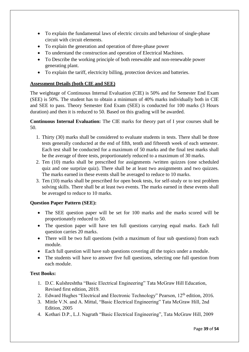- To explain the fundamental laws of electric circuits and behaviour of single-phase circuit with circuit elements.
- To explain the generation and operation of three-phase power
- To understand the construction and operation of Electrical Machines.
- To Describe the working principle of both renewable and non-renewable power generating plant.
- To explain the tariff, electricity billing, protection devices and batteries.

#### **Assessment Details (both CIE and SEE)**

The weightage of Continuous Internal Evaluation (CIE) is 50% and for Semester End Exam (SEE) is 50%. The student has to obtain a minimum of 40% marks individually both in CIE and SEE to pass. Theory Semester End Exam (SEE) is conducted for 100 marks (3 Hours duration) and then it is reduced to 50. Based on this grading will be awarded.

**Continuous Internal Evaluation:** The CIE marks for theory part of I year courses shall be 50.

- 1. Thirty (30) marks shall be considered to evaluate students in tests. There shall be three tests generally conducted at the end of fifth, tenth and fifteenth week of each semester. Each test shall be conducted for a maximum of 50 marks and the final test marks shall be the average of three tests, proportionately reduced to a maximum of 30 marks.
- 2. Ten (10) marks shall be prescribed for assignments /written quizzes (one scheduled quiz and one surprize quiz). There shall be at least two assignments and two quizzes. The marks earned in these events shall be averaged to reduce to 10 marks.
- 3. Ten (10) marks shall be prescribed for open book tests, for self-study or to test problem solving skills. There shall be at least two events. The marks earned in these events shall be averaged to reduce to 10 marks.

#### **Question Paper Pattern (SEE):**

- The SEE question paper will be set for 100 marks and the marks scored will be proportionately reduced to 50.
- The question paper will have ten full questions carrying equal marks. Each full question carries 20 marks.
- There will be two full questions (with a maximum of four sub questions) from each module.
- Each full question will have sub questions covering all the topics under a module.
- The students will have to answer five full questions, selecting one full question from each module.

#### **Text Books:**

- 1. D.C. Kulshreshtha "Basic Electrical Engineering" Tata McGraw Hill Education, Revised first edition, 2019.
- 2. Edward Hughes "Electrical and Electronic Technology" Pearson, 12<sup>th</sup> edition, 2016.
- 3. Mittle V.N. and A. Mittal, "Basic Electrical Engineering" Tata McGraw Hill, 2nd Edition, 2005
- 4. Kothari D.P., L.J. Nagrath "Basic Electrical Engineering", Tata McGraw Hill, 2009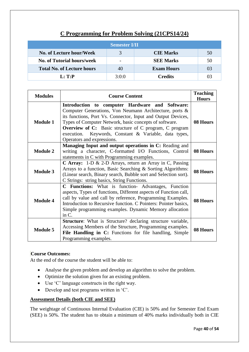| <b>Semester I/II</b>              |       |                   |    |
|-----------------------------------|-------|-------------------|----|
| No. of Lecture hour/Week          |       | <b>CIE Marks</b>  | 50 |
| <b>No. of Tutorial hours/week</b> |       | <b>SEE Marks</b>  | 50 |
| <b>Total No. of Lecture hours</b> | 40    | <b>Exam Hours</b> | 03 |
| L: T: P                           | 3:0:0 | <b>Credits</b>    | 03 |

# **C Programming for Problem Solving (21CPS14/24)**

| <b>Modules</b>  | <b>Course Content</b>                                                                                                                                                                                                                                                                                                                                                                        | <b>Teaching</b><br><b>Hours</b> |
|-----------------|----------------------------------------------------------------------------------------------------------------------------------------------------------------------------------------------------------------------------------------------------------------------------------------------------------------------------------------------------------------------------------------------|---------------------------------|
| <b>Module 1</b> | Introduction to computer Hardware and Software:<br>Computer Generations, Von Neumann Architecture, ports &<br>its functions, Port Vs. Connector, Input and Output Devices,<br>Types of Computer Network, basic concepts of software.<br><b>Overview of C:</b> Basic structure of C program, C program<br>execution. Keywords, Constant & Variable, data types,<br>Operators and expressions. | 08 Hours                        |
| <b>Module 2</b> | Managing Input and output operations in C: Reading and<br>writing a character, C-formatted I/O Functions, Control<br>statements in C with Programming examples.                                                                                                                                                                                                                              | 08 Hours                        |
| <b>Module 3</b> | <b>C</b> Array: 1-D & 2-D Arrays, return an Array in C, Passing<br>Arrays to a function, Basic Searching & Sorting Algorithms:<br>(Linear search, Binary search, Bubble sort and Selection sort).<br>C Strings: string basics, String Functions.                                                                                                                                             | 08 Hours                        |
| <b>Module 4</b> | <b>C</b> Functions: What is function- Advantages, Function<br>aspects, Types of functions, Different aspects of Function call,<br>call by value and call by reference, Programming Examples.<br>Introduction to Recursive function. C Pointers: Pointer basics,<br>Simple programming examples. Dynamic Memory allocation<br>in C.                                                           | 08 Hours                        |
| <b>Module 5</b> | <b>Structure:</b> What is Structure? declaring structure variable,<br>Accessing Members of the Structure, Programming examples.<br>File Handling in C: Functions for file handling, Simple<br>Programming examples.                                                                                                                                                                          | 08 Hours                        |

#### **Course Outcomes:**

At the end of the course the student will be able to:

- Analyse the given problem and develop an algorithm to solve the problem.
- Optimize the solution given for an existing problem.
- Use 'C' language constructs in the right way.
- Develop and test programs written in 'C'.

#### **Assessment Details (both CIE and SEE)**

The weightage of Continuous Internal Evaluation (CIE) is 50% and for Semester End Exam (SEE) is 50%. The student has to obtain a minimum of 40% marks individually both in CIE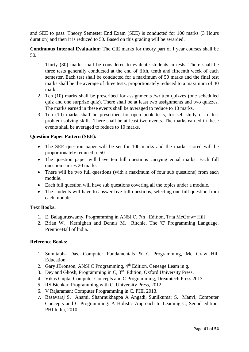and SEE to pass. Theory Semester End Exam (SEE) is conducted for 100 marks (3 Hours duration) and then it is reduced to 50. Based on this grading will be awarded.

**Continuous Internal Evaluation:** The CIE marks for theory part of I year courses shall be 50.

- 1. Thirty (30) marks shall be considered to evaluate students in tests. There shall be three tests generally conducted at the end of fifth, tenth and fifteenth week of each semester. Each test shall be conducted for a maximum of 50 marks and the final test marks shall be the average of three tests, proportionately reduced to a maximum of 30 marks.
- 2. Ten (10) marks shall be prescribed for assignments /written quizzes (one scheduled quiz and one surprize quiz). There shall be at least two assignments and two quizzes. The marks earned in these events shall be averaged to reduce to 10 marks.
- 3. Ten (10) marks shall be prescribed for open book tests, for self-study or to test problem solving skills. There shall be at least two events. The marks earned in these events shall be averaged to reduce to 10 marks.

#### **Question Paper Pattern (SEE):**

- The SEE question paper will be set for 100 marks and the marks scored will be proportionately reduced to 50.
- The question paper will have ten full questions carrying equal marks. Each full question carries 20 marks.
- There will be two full questions (with a maximum of four sub questions) from each module.
- Each full question will have sub questions covering all the topics under a module.
- The students will have to answer five full questions, selecting one full question from each module.

#### **Text Books:**

- 1. E. Balaguruswamy, Programming in ANSI C, 7th Edition, Tata McGraw• Hill
- 2. Brian W. Kernighan and Dennis M. Ritchie, The 'C' Programming Language, PrenticeHall of lndia.

#### **Reference Books:**

- 1. Sumitabha Das, Computer Fundamentals & C Programming, Mc Graw Hill Education.
- 2. Gary JBronson, ANSI C Programming, 4<sup>th</sup> Edition, Ceneage Leam in g.
- 3. Dey and Ghosh, Programming in C, 3<sup>rd</sup> Edition, Oxford University Press.
- 4. Vikas Gupta: Computer Concepts and C Programming, Dreamtech Press 2013.
- 5. RS Bichkar, Programming with C, University Press, 2012.
- 6. V Rajaraman: Computer Programming in C, PHI, 2013.
- 7. Basavaraj S. Anami, Shanrnukhappa A Angadi, Sunilkumar S. Manvi, Computer Concepts and C Programming: A Holistic Approach to Leaming C, Seond edition, PHI India, 2010.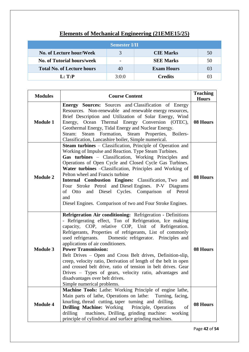| <b>Semester I/II</b>              |       |                   |    |
|-----------------------------------|-------|-------------------|----|
| No. of Lecture hour/Week          | 3     | <b>CIE Marks</b>  | 50 |
| <b>No. of Tutorial hours/week</b> |       | <b>SEE Marks</b>  | 50 |
| <b>Total No. of Lecture hours</b> | 40    | <b>Exam Hours</b> | 03 |
| L: T: P                           | 3:0:0 | <b>Credits</b>    | 03 |

# **Elements of Mechanical Engineering (21EME15/25)**

| <b>Modules</b>  | <b>Course Content</b>                                                                                                                                                                                                                                                                                                                                                                                                                                                                                                                                                                                                                                                                                     | <b>Teaching</b><br><b>Hours</b> |
|-----------------|-----------------------------------------------------------------------------------------------------------------------------------------------------------------------------------------------------------------------------------------------------------------------------------------------------------------------------------------------------------------------------------------------------------------------------------------------------------------------------------------------------------------------------------------------------------------------------------------------------------------------------------------------------------------------------------------------------------|---------------------------------|
| <b>Module 1</b> | <b>Energy Sources:</b> Sources and Classification of Energy<br>Resources. Non-renewable and renewable energy resources,<br>Brief Description and Utilization of Solar Energy, Wind<br>Energy, Ocean Thermal Energy Conversion (OTEC),<br>Geothermal Energy, Tidal Energy and Nuclear Energy.<br>Steam Formation, Steam Properties, Boilers-<br>Steam:<br>Classification, Lancashire boiler, Simple numerical.                                                                                                                                                                                                                                                                                             | 08 Hours                        |
| <b>Module 2</b> | <b>Steam turbines</b> – Classification, Principle of Operation and<br>Working of Impulse and Reaction. Type Steam Turbines.<br>Gas turbines - Classification, Working Principles and<br>Operations of Open Cycle and Closed Cycle Gas Turbines.<br>Water turbines -Classification, Principles and Working of<br>Pelton wheel and Francis turbine<br>Internal Combustion Engines: Classification, Two and<br>Four Stroke Petrol and Diesel Engines. P-V Diagrams<br>of Otto and Diesel Cycles. Comparison of Petrol<br>and<br>Diesel Engines. Comparison of two and Four Stroke Engines.                                                                                                                   | 08 Hours                        |
| <b>Module 3</b> | Refrigeration Air conditioning: Refrigeration - Definitions<br>- Refrigerating effect, Ton of Refrigeration, Ice making<br>capacity, COP, relative COP, Unit of Refrigeration.<br>Refrigerants, Properties of refrigerants, List of commonly<br>used refrigerants. Domestic refrigerator. Principles and<br>applications of air conditioners.<br><b>Power Transmission:</b><br>Belt Drives - Open and Cross Belt drives, Definition-slip,<br>creep, velocity ratio, Derivation of length of the belt in open<br>and crossed belt drive, ratio of tension in belt drives. Gear<br>Drives - Types of gears, velocity ratio, advantages and<br>disadvantages over belt drives.<br>Simple numerical problems. | 08 Hours                        |
| <b>Module 4</b> | Machine Tools: Lathe: Working Principle of engine lathe,<br>Main parts of lathe, Operations on lathe: Turning, facing,<br>knurling, thread cutting, taper turning and drilling.<br>Drilling Machine: Working Principle, Operations<br>of<br>drilling<br>machines, Drilling, grinding machine: working<br>principle of cylindrical and surface grinding machines.                                                                                                                                                                                                                                                                                                                                          | 08 Hours                        |

Page **42** of **54**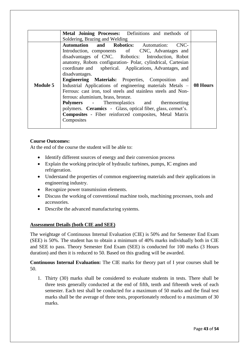|                                    | Metal Joining Processes: Definitions and methods of                  |  |  |  |  |  |  |
|------------------------------------|----------------------------------------------------------------------|--|--|--|--|--|--|
|                                    | Soldering, Brazing and Welding                                       |  |  |  |  |  |  |
|                                    | <b>Automation and Robotics:</b> Automation:<br>CNC-                  |  |  |  |  |  |  |
|                                    | Introduction, components of CNC, Advantages and                      |  |  |  |  |  |  |
|                                    | disadvantages of CNC. Robotics: Introduction, Robot                  |  |  |  |  |  |  |
|                                    | anatomy, Robots configuration- Polar, cylindrical, Cartesian         |  |  |  |  |  |  |
|                                    | coordinate and spherical. Applications, Advantages, and              |  |  |  |  |  |  |
|                                    | disadvantages.                                                       |  |  |  |  |  |  |
|                                    | <b>Engineering Materials:</b> Properties, Composition and            |  |  |  |  |  |  |
| <b>Module 5</b>                    | Industrial Applications of engineering materials Metals $-$ 08 Hours |  |  |  |  |  |  |
|                                    | Ferrous: cast iron, tool steels and stainless steels and Non-        |  |  |  |  |  |  |
| ferrous: aluminium, brass, bronze. |                                                                      |  |  |  |  |  |  |
|                                    | <b>Polymers</b> - Thermoplastics and thermosetting                   |  |  |  |  |  |  |
|                                    | polymers. <b>Ceramics</b> - Glass, optical fiber, glass, cermet's.   |  |  |  |  |  |  |
|                                    | <b>Composites</b> - Fiber reinforced composites, Metal Matrix        |  |  |  |  |  |  |
|                                    | Composites                                                           |  |  |  |  |  |  |
|                                    |                                                                      |  |  |  |  |  |  |

#### **Course Outcomes:**

At the end of the course the student will be able to:

- Identify different sources of energy and their conversion process
- Explain the working principle of hydraulic turbines, pumps, IC engines and refrigeration.
- Understand the properties of common engineering materials and their applications in engineering industry.
- Recognize power transmission elements.
- Discuss the working of conventional machine tools, machining processes, tools and accessories.
- Describe the advanced manufacturing systems.

#### **Assessment Details (both CIE and SEE)**

The weightage of Continuous Internal Evaluation (CIE) is 50% and for Semester End Exam (SEE) is 50%. The student has to obtain a minimum of 40% marks individually both in CIE and SEE to pass. Theory Semester End Exam (SEE) is conducted for 100 marks (3 Hours duration) and then it is reduced to 50. Based on this grading will be awarded.

**Continuous Internal Evaluation:** The CIE marks for theory part of I year courses shall be 50.

1. Thirty (30) marks shall be considered to evaluate students in tests. There shall be three tests generally conducted at the end of fifth, tenth and fifteenth week of each semester. Each test shall be conducted for a maximum of 50 marks and the final test marks shall be the average of three tests, proportionately reduced to a maximum of 30 marks.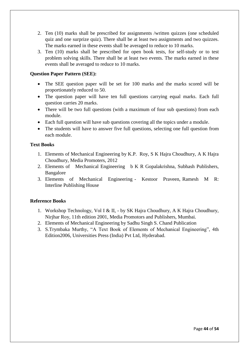- 2. Ten (10) marks shall be prescribed for assignments /written quizzes (one scheduled quiz and one surprize quiz). There shall be at least two assignments and two quizzes. The marks earned in these events shall be averaged to reduce to 10 marks.
- 3. Ten (10) marks shall be prescribed for open book tests, for self-study or to test problem solving skills. There shall be at least two events. The marks earned in these events shall be averaged to reduce to 10 marks.

#### **Question Paper Pattern (SEE):**

- The SEE question paper will be set for 100 marks and the marks scored will be proportionately reduced to 50.
- The question paper will have ten full questions carrying equal marks. Each full question carries 20 marks.
- There will be two full questions (with a maximum of four sub questions) from each module.
- Each full question will have sub questions covering all the topics under a module.
- The students will have to answer five full questions, selecting one full question from each module.

#### **Text Books**

- 1. Elements of Mechanical Engineering by K.P. Roy, S K Hajra Choudhury, A K Hajra Choudhury, Media Promoters, 2012
- 2. Elements of Mechanical Engineering b K R Gopalakrishna, Subhash Publishers, Bangalore
- 3. Elements of Mechanical Engineering Kestoor Praveen, Ramesh M R: Interline Publishing House

#### **Reference Books**

- 1. Workshop Technology, Vol I & II, by SK Hajra Choudhury, A K Hajra Choudhury, Nirjhar Roy, 11th edition 2001, Media Promotors and Publishers, Mumbai.
- 2. Elements of Mechanical Engineering by Sadhu Singh S. Chand Publication
- 3. S.Trymbaka Murthy, "A Text Book of Elements of Mechanical Engineering", 4th Edition2006, Universities Press (India) Pvt Ltd, Hyderabad.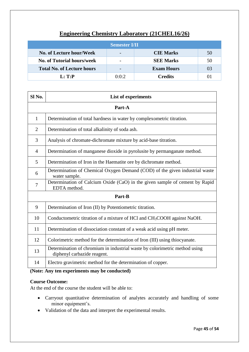### **Engineering Chemistry Laboratory (21CHEL16/26)**

| <b>Semester I/II</b>              |       |                   |    |  |  |
|-----------------------------------|-------|-------------------|----|--|--|
| No. of Lecture hour/Week          |       | <b>CIE Marks</b>  | 50 |  |  |
| <b>No. of Tutorial hours/week</b> |       | <b>SEE Marks</b>  | 50 |  |  |
| <b>Total No. of Lecture hours</b> |       | <b>Exam Hours</b> | 03 |  |  |
| L: T:P                            | 0:0:2 | <b>Credits</b>    |    |  |  |

| Sl No.         | <b>List of experiments</b>                                                                                |  |  |
|----------------|-----------------------------------------------------------------------------------------------------------|--|--|
| Part-A         |                                                                                                           |  |  |
| 1              | Determination of total hardness in water by complexometric titration.                                     |  |  |
| $\overline{2}$ | Determination of total alkalinity of soda ash.                                                            |  |  |
| 3              | Analysis of chromate-dichromate mixture by acid-base titration.                                           |  |  |
| $\overline{4}$ | Determination of manganese dioxide in pyrolusite by permanganate method.                                  |  |  |
| 5              | Determination of Iron in the Haematite ore by dichromate method.                                          |  |  |
| 6              | Determination of Chemical Oxygen Demand (COD) of the given industrial waste<br>water sample.              |  |  |
| $\overline{7}$ | Determination of Calcium Oxide (CaO) in the given sample of cement by Rapid<br>EDTA method.               |  |  |
|                | Part-B                                                                                                    |  |  |
| 9              | Determination of Iron (II) by Potentiometric titration.                                                   |  |  |
| 10             | Conductometric titration of a mixture of HCl and CH <sub>3</sub> COOH against NaOH.                       |  |  |
| 11             | Determination of dissociation constant of a weak acid using pH meter.                                     |  |  |
| 12             | Colorimetric method for the determination of Iron (III) using thiocyanate.                                |  |  |
| 13             | Determination of chromium in industrial waste by colorimetric method using<br>diphenyl carbazide reagent. |  |  |
| 14             | Electro gravimetric method for the determination of copper.                                               |  |  |

#### **(Note: Any ten experiments may be conducted)**

#### **Course Outcome:**

At the end of the course the student will be able to:

- Carryout quantitative determination of analytes accurately and handling of some minor equipment's.
- Validation of the data and interpret the experimental results.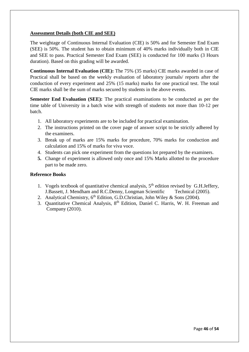#### **Assessment Details (both CIE and SEE)**

The weightage of Continuous Internal Evaluation (CIE) is 50% and for Semester End Exam (SEE) is 50%. The student has to obtain minimum of 40% marks individually both in CIE and SEE to pass. Practical Semester End Exam (SEE) is conducted for 100 marks (3 Hours duration). Based on this grading will be awarded.

**Continuous Internal Evaluation (CIE):** The 75% (35 marks) CIE marks awarded in case of Practical shall be based on the weekly evaluation of laboratory journals/ reports after the conduction of every experiment and 25% (15 marks) marks for one practical test. The total CIE marks shall be the sum of marks secured by students in the above events.

**Semester End Evaluation (SEE):** The practical examinations to be conducted as per the time table of University in a batch wise with strength of students not more than 10-12 per batch.

- 1. All laboratory experiments are to be included for practical examination.
- 2. The instructions printed on the cover page of answer script to be strictly adhered by the examiners.
- 3. Break up of marks are 15% marks for procedure, 70% marks for conduction and calculation and 15% of marks for viva voce.
- 4. Students can pick one experiment from the questions lot prepared by the examiners.
- **5.** Change of experiment is allowed only once and 15% Marks allotted to the procedure part to be made zero.

#### **Reference Books**

- 1. Vogels textbook of quantitative chemical analysis,  $5<sup>th</sup>$  edition revised by G.H.Jeffery, J.Bassett, J. Mendham and R.C.Denny, Longman Scientific Technical (2005).
- 2. Analytical Chemistry,  $6<sup>th</sup>$  Edition, G.D.Christian, John Wiley & Sons (2004).
- 3. Quantitative Chemical Analysis, 8<sup>th</sup> Edition, Daniel C. Harris, W. H. Freeman and Company (2010).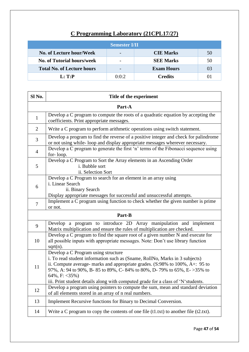# **C Programming Laboratory (21CPL17/27)**

| <b>Semester I/II</b>              |       |                   |    |  |  |
|-----------------------------------|-------|-------------------|----|--|--|
| No. of Lecture hour/Week          |       | <b>CIE Marks</b>  | 50 |  |  |
| <b>No. of Tutorial hours/week</b> |       | <b>SEE Marks</b>  | 50 |  |  |
| <b>Total No. of Lecture hours</b> |       | <b>Exam Hours</b> | 03 |  |  |
| L: T:P                            | 0:0:2 | <b>Credits</b>    | 01 |  |  |

| Sl No.         | Title of the experiment                                                                                                                                                                                                                                                                                                                                                                           |  |  |  |
|----------------|---------------------------------------------------------------------------------------------------------------------------------------------------------------------------------------------------------------------------------------------------------------------------------------------------------------------------------------------------------------------------------------------------|--|--|--|
|                | Part-A                                                                                                                                                                                                                                                                                                                                                                                            |  |  |  |
| $\mathbf{1}$   | Develop a C program to compute the roots of a quadratic equation by accepting the<br>coefficients. Print appropriate messages.                                                                                                                                                                                                                                                                    |  |  |  |
| $\overline{2}$ | Write a C program to perform arithmetic operations using switch statement.                                                                                                                                                                                                                                                                                                                        |  |  |  |
| 3              | Develop a program to find the reverse of a positive integer and check for palindrome<br>or not using while-loop and display appropriate messages wherever necessary.                                                                                                                                                                                                                              |  |  |  |
| $\overline{4}$ | Develop a C program to generate the first 'n' terms of the Fibonacci sequence using<br>for-loop.                                                                                                                                                                                                                                                                                                  |  |  |  |
| 5              | Develop a C Program to Sort the Array elements in an Ascending Order<br>i. Bubble sort<br>ii. Selection Sort                                                                                                                                                                                                                                                                                      |  |  |  |
| 6              | Develop a C Program to search for an element in an array using<br>i. Linear Search<br>ii. Binary Search<br>Display appropriate messages for successful and unsuccessful attempts.                                                                                                                                                                                                                 |  |  |  |
| $\overline{7}$ | Implement a C program using function to check whether the given number is prime<br>or not.                                                                                                                                                                                                                                                                                                        |  |  |  |
|                | Part-B                                                                                                                                                                                                                                                                                                                                                                                            |  |  |  |
| 9              | Develop a program to introduce 2D Array manipulation and implement<br>Matrix multiplication and ensure the rules of multiplication are checked.                                                                                                                                                                                                                                                   |  |  |  |
| 10             | Develop a C program to find the square root of a given number N and execute for<br>all possible inputs with appropriate messages. Note: Don't use library function<br>$sqrt(n)$ .                                                                                                                                                                                                                 |  |  |  |
| 11             | Develop a C Program using structure<br>i. To read student information such as (Sname, RollNo, Marks in 3 subjects)<br>ii. Compute average- marks and appropriate grades. (S:98% to 100%, A+: 95 to<br>97%, A: 94 to 90%, B-85 to 89%, C-84% to 80%, D-79% to 65%, E->35% to<br>64%, F: $\langle 35\% \rangle$<br>iii. Print student details along with computed grade for a class of 'N'students. |  |  |  |
| 12             | Develop a program using pointers to compute the sum, mean and standard deviation<br>of all elements stored in an array of n real numbers.                                                                                                                                                                                                                                                         |  |  |  |
| 13             | Implement Recursive functions for Binary to Decimal Conversion.                                                                                                                                                                                                                                                                                                                                   |  |  |  |
| 14             | Write a C program to copy the contents of one file $(t1.txt)$ to another file $(t2.txt)$ .                                                                                                                                                                                                                                                                                                        |  |  |  |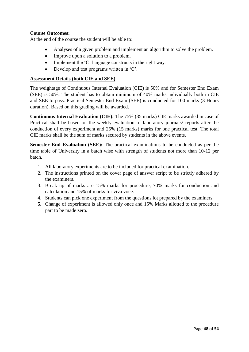#### **Course Outcomes:**

At the end of the course the student will be able to:

- Analyses of a given problem and implement an algorithm to solve the problem.
- Improve upon a solution to a problem.
- Implement the 'C' language constructs in the right way.
- Develop and test programs written in 'C'.

#### **Assessment Details (both CIE and SEE)**

The weightage of Continuous Internal Evaluation (CIE) is 50% and for Semester End Exam (SEE) is 50%. The student has to obtain minimum of 40% marks individually both in CIE and SEE to pass. Practical Semester End Exam (SEE) is conducted for 100 marks (3 Hours duration). Based on this grading will be awarded.

**Continuous Internal Evaluation (CIE):** The 75% (35 marks) CIE marks awarded in case of Practical shall be based on the weekly evaluation of laboratory journals/ reports after the conduction of every experiment and 25% (15 marks) marks for one practical test. The total CIE marks shall be the sum of marks secured by students in the above events.

**Semester End Evaluation (SEE):** The practical examinations to be conducted as per the time table of University in a batch wise with strength of students not more than 10-12 per batch.

- 1. All laboratory experiments are to be included for practical examination.
- 2. The instructions printed on the cover page of answer script to be strictly adhered by the examiners.
- 3. Break up of marks are 15% marks for procedure, 70% marks for conduction and calculation and 15% of marks for viva voce.
- 4. Students can pick one experiment from the questions lot prepared by the examiners.
- **5.** Change of experiment is allowed only once and 15% Marks allotted to the procedure part to be made zero.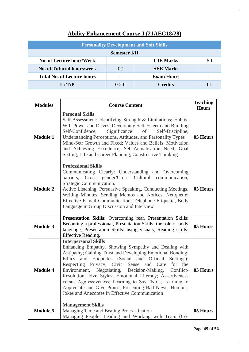| <b>Personality Development and Soft Skills</b>            |                |                   |  |  |  |
|-----------------------------------------------------------|----------------|-------------------|--|--|--|
| <b>Semester I/II</b>                                      |                |                   |  |  |  |
| <b>No. of Lecture hour/Week</b><br><b>CIE Marks</b><br>50 |                |                   |  |  |  |
| <b>No. of Tutorial hours/week</b>                         | 02             | <b>SEE Marks</b>  |  |  |  |
| <b>Total No. of Lecture hours</b>                         |                | <b>Exam Hours</b> |  |  |  |
| L: T:P                                                    | <b>Credits</b> |                   |  |  |  |

# **Ability Enhancement Course-I (21AEC18/28)**

| <b>Modules</b>  | <b>Course Content</b>                                                                                                                                                                                                                                                                                                                                                                                                                                                                                                                                               |          |  |  |
|-----------------|---------------------------------------------------------------------------------------------------------------------------------------------------------------------------------------------------------------------------------------------------------------------------------------------------------------------------------------------------------------------------------------------------------------------------------------------------------------------------------------------------------------------------------------------------------------------|----------|--|--|
| <b>Module 1</b> | <b>Personal Skills</b><br>Self-Assessment; Identifying Strength & Limitations; Habits,<br>Will-Power and Drives; Developing Self-Esteem and Building<br>Significance<br>Self-Confidence,<br>of<br>Self-Discipline,<br>Understanding Perceptions, Attitudes, and Personality Types<br>Mind-Set: Growth and Fixed; Values and Beliefs, Motivation<br>and Achieving Excellence; Self-Actualisation Need, Goal<br>Setting, Life and Career Planning; Constructive Thinking                                                                                              | 05 Hours |  |  |
| <b>Module 2</b> | <b>Professional Skills</b><br>Communicating Clearly: Understanding and Overcoming<br>barriers; Cross gender/Cross Cultural communication,<br>Strategic Communication.<br>Active Listening, Persuasive Speaking, Conducting Meetings,<br>Writing Minutes, Sending Memos and Notices, Netiquette:<br>Effective E-mail Communication; Telephone Etiquette, Body<br>Language in Group Discussion and Interview                                                                                                                                                          | 05 Hours |  |  |
| <b>Module 3</b> | Presentation Skills: Overcoming fear, Presentation Skills:<br>Becoming a professional, Presentation Skills: the role of body<br>language, Presentation Skills: using visuals, Reading skills:<br>Effective Reading.                                                                                                                                                                                                                                                                                                                                                 | 05 Hours |  |  |
| <b>Module 4</b> | <b>Interpersonal Skills</b><br>Enhancing Empathy, Showing Sympathy and Dealing with<br>Antipathy; Gaining Trust and Developing Emotional Bonding<br>Ethics and Etiquettes (Social and Official<br>Settings:<br>Respecting Privacy; Civic Sense and Care<br>for the<br>Environment, Negotiating, Decision-Making, Conflict-<br>Resolution, Five Styles, Emotional Literacy; Assertiveness<br>versus Aggressiveness; Learning to Say "No."; Learning to<br>Appreciate and Give Praise; Presenting Bad News, Humour,<br>Jokes and Anecdotes in Effective Communication | 05 Hours |  |  |
| <b>Module 5</b> | <b>Management Skills</b><br>Managing Time and Beating Procrastination<br>Managing People: Leading and Working with Team (Co-                                                                                                                                                                                                                                                                                                                                                                                                                                        | 05 Hours |  |  |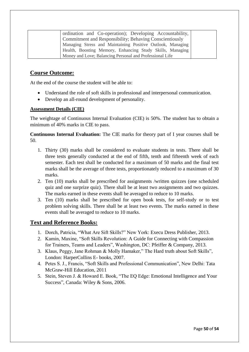| ordination and Co-operation); Developing Accountability,   |
|------------------------------------------------------------|
| Commitment and Responsibility; Behaving Conscientiously    |
| Managing Stress and Maintaining Positive Outlook, Managing |
| Health, Boosting Memory, Enhancing Study Skills, Managing  |
| Money and Love; Balancing Personal and Professional Life   |

#### **Course Outcome:**

At the end of the course the student will be able to:

- Understand the role of soft skills in professional and interpersonal communication.
- Develop an all-round development of personality.

#### **Assessment Details (CIE)**

The weightage of Continuous Internal Evaluation (CIE) is 50%. The student has to obtain a minimum of 40% marks in CIE to pass.

**Continuous Internal Evaluation:** The CIE marks for theory part of I year courses shall be 50.

- 1. Thirty (30) marks shall be considered to evaluate students in tests. There shall be three tests generally conducted at the end of fifth, tenth and fifteenth week of each semester. Each test shall be conducted for a maximum of 50 marks and the final test marks shall be the average of three tests, proportionately reduced to a maximum of 30 marks.
- 2. Ten (10) marks shall be prescribed for assignments /written quizzes (one scheduled quiz and one surprize quiz). There shall be at least two assignments and two quizzes. The marks earned in these events shall be averaged to reduce to 10 marks.
- 3. Ten (10) marks shall be prescribed for open book tests, for self-study or to test problem solving skills. There shall be at least two events. The marks earned in these events shall be averaged to reduce to 10 marks.

#### **Text and Reference Books:**

- 1. Dorch, Patricia, "What Are Sift Skills?" New York: Execu Dress Publisher, 2013.
- 2. Kamin, Maxine, "Soft Skills Revolution: A Guide for Connecting with Compassion for Trainers, Teams and Leaders", Washington, DC: Pfeiffer & Company, 2013.
- 3. Klaus, Peggy, Jane Rohman & Molly Hamaker," The Hard truth about Soft Skills", London: HarperCollins E- books, 2007.
- 4. Petes S. J., Francis, "Soft Skills and Professional Communication", New Delhi: Tata McGraw-Hill Education, 2011
- 5. Stein, Steven J. & Howard E. Book, "The EQ Edge: Emotional Intelligence and Your Success", Canada: Wiley & Sons, 2006.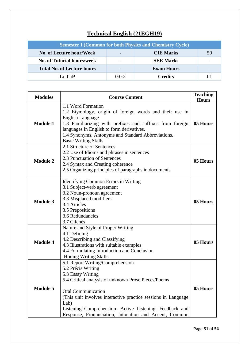# **Technical English (21EGH19)**

| <b>Semester I (Common for both Physics and Chemistry Cycle)</b> |       |                   |    |  |  |
|-----------------------------------------------------------------|-------|-------------------|----|--|--|
| No. of Lecture hour/Week<br><b>CIE Marks</b><br>50              |       |                   |    |  |  |
| <b>No. of Tutorial hours/week</b>                               |       | <b>SEE Marks</b>  |    |  |  |
| <b>Total No. of Lecture hours</b>                               |       | <b>Exam Hours</b> |    |  |  |
| $\mathbf{L}:\mathbf{T}:\mathbf{P}$                              | 0:0:2 | <b>Credits</b>    | 01 |  |  |

| <b>Modules</b>  | <b>Course Content</b>                                                                                                                                                                                                                                                                                                                                          |          |  |  |
|-----------------|----------------------------------------------------------------------------------------------------------------------------------------------------------------------------------------------------------------------------------------------------------------------------------------------------------------------------------------------------------------|----------|--|--|
| <b>Module 1</b> | 1.1 Word Formation<br>1.2 Etymology, origin of foreign words and their use in<br><b>English Language</b><br>1.3 Familiarizing with prefixes and suffixes from foreign<br>languages in English to form derivatives.<br>1.4 Synonyms, Antonyms and Standard Abbreviations.<br><b>Basic Writing Skills</b>                                                        | 05 Hours |  |  |
| <b>Module 2</b> | 2.1 Structure of Sentences<br>2.2 Use of Idioms and phrases in sentences<br>2.3 Punctuation of Sentences<br>2.4 Syntax and Creating coherence<br>2.5 Organizing principles of paragraphs in documents                                                                                                                                                          | 05 Hours |  |  |
| <b>Module 3</b> | Identifying Common Errors in Writing<br>3.1 Subject-verb agreement<br>3.2 Noun-pronoun agreement<br>3.3 Misplaced modifiers<br>3.4 Articles<br>3.5 Prepositions<br>3.6 Redundancies<br>3.7 Clichés                                                                                                                                                             | 05 Hours |  |  |
| <b>Module 4</b> | Nature and Style of Proper Writing<br>4.1 Defining<br>4.2 Describing and Classifying<br>4.3 Illustrations with suitable examples<br>4.4 Formulating Introduction and Conclusion<br>Honing Writing Skills                                                                                                                                                       | 05 Hours |  |  |
| <b>Module 5</b> | 5.1 Report Writing/Comprehension<br>5.2 Précis Writing<br>5.3 Essay Writing<br>5.4 Critical analysis of unknown Prose Pieces/Poems<br><b>Oral Communication</b><br>(This unit involves interactive practice sessions in Language)<br>Lab)<br>Listening Comprehension- Active Listening, Feedback and<br>Response, Pronunciation, Intonation and Accent, Common | 05 Hours |  |  |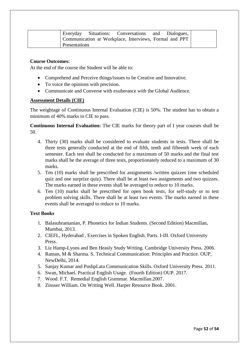|                      | Everyday Situations: Conversations and Dialogues,      |  |  |
|----------------------|--------------------------------------------------------|--|--|
|                      | Communication at Workplace, Interviews, Formal and PPT |  |  |
| <b>Presentations</b> |                                                        |  |  |

#### **Course Outcomes:**

At the end of the course the Student will be able to:

- Comprehend and Perceive things/issues to be Creative and Innovative.
- To voice the opinions with precision.
- Communicate and Converse with exuberance with the Global Audience.

#### **Assessment Details (CIE)**

The weightage of Continuous Internal Evaluation (CIE) is 50%. The student has to obtain a minimum of 40% marks in CIE to pass.

**Continuous Internal Evaluation:** The CIE marks for theory part of I year courses shall be 50.

- 4. Thirty (30) marks shall be considered to evaluate students in tests. There shall be three tests generally conducted at the end of fifth, tenth and fifteenth week of each semester. Each test shall be conducted for a maximum of 50 marks and the final test marks shall be the average of three tests, proportionately reduced to a maximum of 30 marks.
- 5. Ten (10) marks shall be prescribed for assignments /written quizzes (one scheduled quiz and one surprize quiz). There shall be at least two assignments and two quizzes. The marks earned in these events shall be averaged to reduce to 10 marks.
- 6. Ten (10) marks shall be prescribed for open book tests, for self-study or to test problem solving skills. There shall be at least two events. The marks earned in these events shall be averaged to reduce to 10 marks.

#### **Text Books**

- 1. Balasubramanian, P. Phonetics for Indian Students. (Second Edition) Macmillan, Mumbai, 2013.
- 2. CIEFL, Hyderabad , Exercises in Spoken English. Parts. I-III. Oxford University Press.
- 3. Liz Hamp-Lyons and Ben Heasly Study Writing. Cambridge University Press. 2006.
- 4. Raman, M & Sharma. S. Technical Communication: Principles and Practice. OUP, NewDelhi, 2014.
- 5. Sanjay Kumar and PushpLata Communication Skills. Oxford University Press. 2011.
- 6. Swan, Michael. Practical English Usage. (Fourth Edition) OUP. 2017.
- 7. Wood. F.T. Remedial English Grammar. Macmillan.2007.
- 8. Zinsser William. On Writing Well. Harper Resource Book. 2001.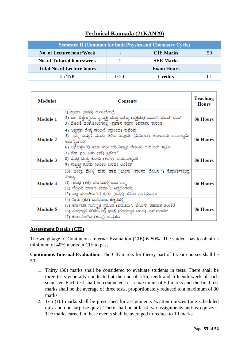### **Technical Kannada (21KAN29)**

| <b>Semester II (Common for both Physics and Chemistry Cycle)</b> |       |                   |    |  |
|------------------------------------------------------------------|-------|-------------------|----|--|
| No. of Lecture hour/Week                                         |       | <b>CIE Marks</b>  | 50 |  |
| <b>No. of Tutorial hours/week</b>                                |       | <b>SEE Marks</b>  |    |  |
| <b>Total No. of Lecture hours</b>                                |       | <b>Exam Hours</b> |    |  |
| $\mathbf{L}:\mathbf{T}:\mathbf{P}$                               | 0:2:0 | <b>Credits</b>    | 01 |  |

| <b>Modules</b>  | <b>Contents</b>                                                                                                                                                                                                      |          |
|-----------------|----------------------------------------------------------------------------------------------------------------------------------------------------------------------------------------------------------------------|----------|
| <b>Module 1</b> | 1) ಶ್ರಾವಣ (ಕವನ) ದ.ರಾ.ಬೇಂದ್ರೆ<br>2) ಡಾ. ವಿಶ್ವೇಶ್ವರಯನ್ನು ವ್ಯಕ್ತಿ ಮತ್ತು ಐತಿಹ್ಯ (ವ್ಯಕ್ತಿಚಿತ್ರ) ಎ.ಎನ್. ಮೂರ್ತಿರಾವ್<br>3) ದೋಣಿ ಹರಿಗೋಲುಗಳಲ್ಲಿ (ಪ್ರವಾಸ ಕಥನ) ಶಿವರಾಮ ಕಾರಂತ                                                      | 06 Hours |
| <b>Module 2</b> | 4) ಅಣ್ಣಪ್ಪನ ರೇಷ್ಕೆ ಕಾಯಿಲೆ (ಪ್ರಬಂಧ) ಕುವೆಂಪು<br>5) ನಮ್ಮ ಎಮ್ಮೆಗೆ ಮಾತು ತಿಳಿಯ 'ಬವುದೇ (ವಿನೋದ) ಗೋರೂರು ರಾಮಸ್ವಾಮಿ<br>ಅಯ ಸ್ತಿಂಗಾರ್<br>6) ಆನೆಹಳ್ಳದ 'ಲ್ಲಿ ಹುಡ 'ುಗಿಯ 'ುರು(ವಿಜ್ಞಾನ ಲೇಖನ) ಬಿ.ಜಿ.ಎಲ್ ಸ್ವಾಮಿ                          | 06 Hours |
| Module 3        | 7) ಬೆಡ್ ನಂ. ಏಳು (ಕತೆ) ತಿವೇಣ ಿ<br>8) ರೊಟ್ಟಿ ಮತ್ತು ಕೋವಿ (ಕವನ) ಸು.ರಂ.ಎಕ್ಕುಂಡಿ<br>9) ಗುಬ್ಬಚ್ಚಿ ಗೂಡು (ಅಂಕಂ ಬರಹ) ಲಂಕೇಶ್                                                                                                    | 06 Hours |
| <b>Module 4</b> | 10) ಚೀಂಕ್ರ ಮೇಸ್ತಿ ಮತ್ತು ಹಾವ jಮೀನು (ಪರಿಸರ ಲೇಖನ ') ಕೆ.ಪೂರ್ಣಚಂದ್ರ<br>ತೇಜಸ್ರಿ<br>II) ಗಾಂಧಿ (ಕತೆ) ಬೆಸಗರಹಳ್ಳಿ ರಾವ <i>ು</i> ಣ್ಣ<br>12) ಬೆಲ್ಟಿಯ ಹಾಡ `ು (ಕವನ ') ಸಿದ್ಧಲಿಂಗಯ್ಯ<br>13) ಎಲ್ಲ ಹುಡುಗಿಯ 'ುರ ಕನಸು (ಕವನ) ಸವಿತಾ ನಾಗಭೂಷಣ | 06 Hours |
| <b>Module 5</b> | 14) ನೀರು (ಕತೆ) ಬಸವರಾಜ ಕುಕ್ತರಹಳ್ಳಿ<br>15) ಕರ್ನಾಟಕ ಸಂಸ್ಕೃತಿ ಸ್ವರೂಪ (ಪರಿಚಯ ಲೇಖನ) ರಹಮತ ತರೀಕೆರೆ<br>16) ತಂತ್ರಜ್ಞಾನ ಕಲಿಕೆಯ ಾಲ್ಲಿ ಭಾಷೆ (ತಂತ್ರಜ್ಞಾನ ಬರಹ) ಎಸ್.ಸುಂದರ್<br>17) ಕೊಣವೇಗೌಡ (ಕಾವ್ನ) ಜಾನಪದ                             | 06 Hours |

#### **Assessment Details (CIE)**

The weightage of Continuous Internal Evaluation (CIE) is 50%. The student has to obtain a minimum of 40% marks in CIE to pass.

**Continuous Internal Evaluation:** The CIE marks for theory part of I year courses shall be 50.

- 1. Thirty (30) marks shall be considered to evaluate students in tests. There shall be three tests generally conducted at the end of fifth, tenth and fifteenth week of each semester. Each test shall be conducted for a maximum of 50 marks and the final test marks shall be the average of three tests, proportionately reduced to a maximum of 30 marks.
- 2. Ten (10) marks shall be prescribed for assignments /written quizzes (one scheduled quiz and one surprize quiz). There shall be at least two assignments and two quizzes. The marks earned in these events shall be averaged to reduce to 10 marks.